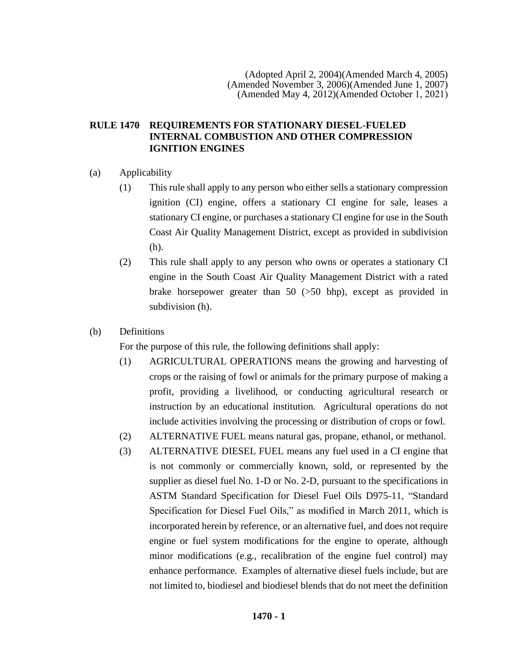## **RULE 1470 REQUIREMENTS FOR STATIONARY DIESEL-FUELED INTERNAL COMBUSTION AND OTHER COMPRESSION IGNITION ENGINES**

## (a) Applicability

- (1) This rule shall apply to any person who either sells a stationary compression ignition (CI) engine, offers a stationary CI engine for sale, leases a stationary CI engine, or purchases a stationary CI engine for use in the South Coast Air Quality Management District, except as provided in subdivision (h).
- (2) This rule shall apply to any person who owns or operates a stationary CI engine in the South Coast Air Quality Management District with a rated brake horsepower greater than 50 (>50 bhp), except as provided in subdivision (h).
- (b) Definitions

For the purpose of this rule, the following definitions shall apply:

- (1) AGRICULTURAL OPERATIONS means the growing and harvesting of crops or the raising of fowl or animals for the primary purpose of making a profit, providing a livelihood, or conducting agricultural research or instruction by an educational institution. Agricultural operations do not include activities involving the processing or distribution of crops or fowl.
- (2) ALTERNATIVE FUEL means natural gas, propane, ethanol, or methanol.
- (3) ALTERNATIVE DIESEL FUEL means any fuel used in a CI engine that is not commonly or commercially known, sold, or represented by the supplier as diesel fuel No. 1-D or No. 2-D, pursuant to the specifications in ASTM Standard Specification for Diesel Fuel Oils D975-11, "Standard Specification for Diesel Fuel Oils," as modified in March 2011, which is incorporated herein by reference, or an alternative fuel, and does not require engine or fuel system modifications for the engine to operate, although minor modifications (e.g., recalibration of the engine fuel control) may enhance performance. Examples of alternative diesel fuels include, but are not limited to, biodiesel and biodiesel blends that do not meet the definition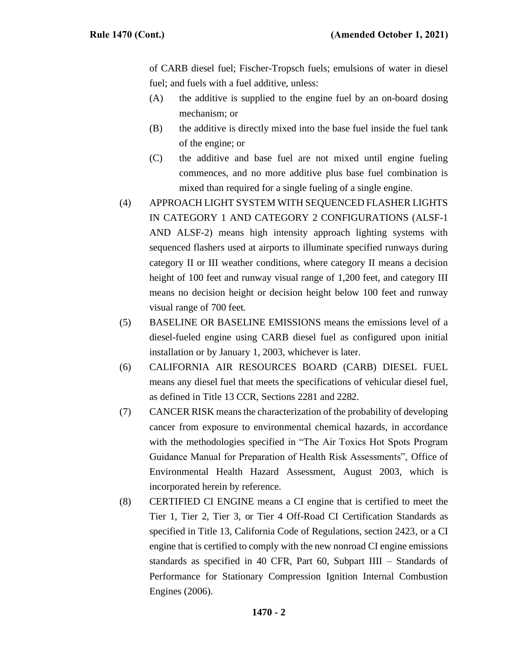of CARB diesel fuel; Fischer-Tropsch fuels; emulsions of water in diesel fuel; and fuels with a fuel additive, unless:

- (A) the additive is supplied to the engine fuel by an on-board dosing mechanism; or
- (B) the additive is directly mixed into the base fuel inside the fuel tank of the engine; or
- (C) the additive and base fuel are not mixed until engine fueling commences, and no more additive plus base fuel combination is mixed than required for a single fueling of a single engine.
- (4) APPROACH LIGHT SYSTEM WITH SEQUENCED FLASHER LIGHTS IN CATEGORY 1 AND CATEGORY 2 CONFIGURATIONS (ALSF-1 AND ALSF-2) means high intensity approach lighting systems with sequenced flashers used at airports to illuminate specified runways during category II or III weather conditions, where category II means a decision height of 100 feet and runway visual range of 1,200 feet, and category III means no decision height or decision height below 100 feet and runway visual range of 700 feet.
- (5) BASELINE OR BASELINE EMISSIONS means the emissions level of a diesel-fueled engine using CARB diesel fuel as configured upon initial installation or by January 1, 2003, whichever is later.
- (6) CALIFORNIA AIR RESOURCES BOARD (CARB) DIESEL FUEL means any diesel fuel that meets the specifications of vehicular diesel fuel, as defined in Title 13 CCR, Sections 2281 and 2282.
- (7) CANCER RISK means the characterization of the probability of developing cancer from exposure to environmental chemical hazards, in accordance with the methodologies specified in "The Air Toxics Hot Spots Program Guidance Manual for Preparation of Health Risk Assessments", Office of Environmental Health Hazard Assessment, August 2003, which is incorporated herein by reference.
- (8) CERTIFIED CI ENGINE means a CI engine that is certified to meet the Tier 1, Tier 2, Tier 3, or Tier 4 Off-Road CI Certification Standards as specified in Title 13, California Code of Regulations, section 2423, or a CI engine that is certified to comply with the new nonroad CI engine emissions standards as specified in 40 CFR, Part 60, Subpart IIII – Standards of Performance for Stationary Compression Ignition Internal Combustion Engines (2006).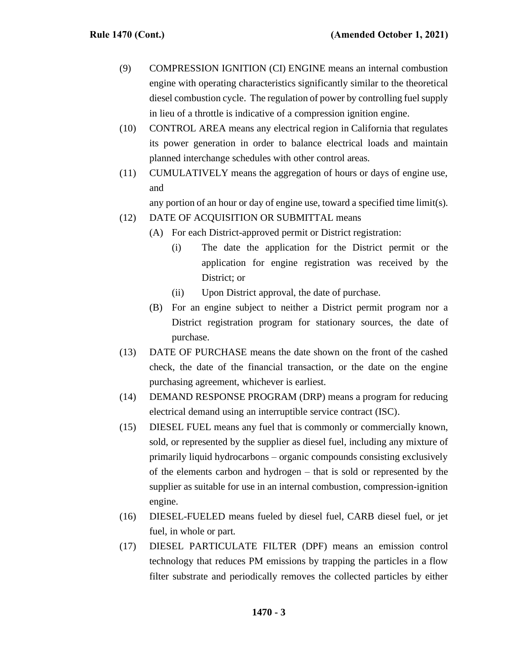- (9) COMPRESSION IGNITION (CI) ENGINE means an internal combustion engine with operating characteristics significantly similar to the theoretical diesel combustion cycle. The regulation of power by controlling fuel supply in lieu of a throttle is indicative of a compression ignition engine.
- (10) CONTROL AREA means any electrical region in California that regulates its power generation in order to balance electrical loads and maintain planned interchange schedules with other control areas.
- (11) CUMULATIVELY means the aggregation of hours or days of engine use, and

any portion of an hour or day of engine use, toward a specified time limit(s).

- (12) DATE OF ACQUISITION OR SUBMITTAL means
	- (A) For each District-approved permit or District registration:
		- (i) The date the application for the District permit or the application for engine registration was received by the District; or
		- (ii) Upon District approval, the date of purchase.
	- (B) For an engine subject to neither a District permit program nor a District registration program for stationary sources, the date of purchase.
- (13) DATE OF PURCHASE means the date shown on the front of the cashed check, the date of the financial transaction, or the date on the engine purchasing agreement, whichever is earliest.
- (14) DEMAND RESPONSE PROGRAM (DRP) means a program for reducing electrical demand using an interruptible service contract (ISC).
- (15) DIESEL FUEL means any fuel that is commonly or commercially known, sold, or represented by the supplier as diesel fuel, including any mixture of primarily liquid hydrocarbons – organic compounds consisting exclusively of the elements carbon and hydrogen – that is sold or represented by the supplier as suitable for use in an internal combustion, compression-ignition engine.
- (16) DIESEL-FUELED means fueled by diesel fuel, CARB diesel fuel, or jet fuel, in whole or part.
- (17) DIESEL PARTICULATE FILTER (DPF) means an emission control technology that reduces PM emissions by trapping the particles in a flow filter substrate and periodically removes the collected particles by either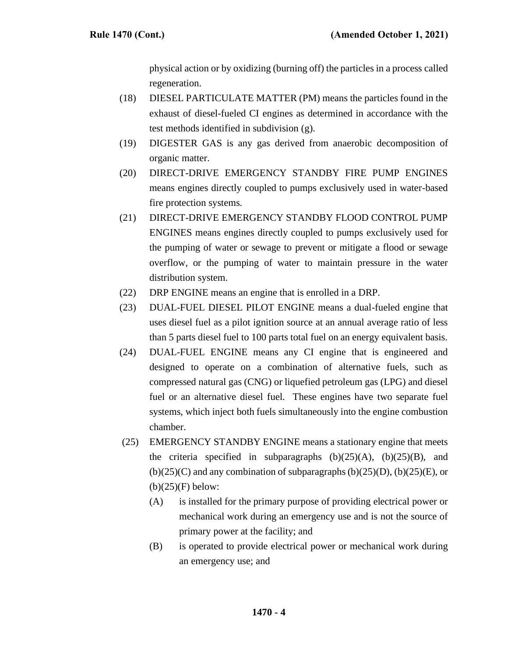physical action or by oxidizing (burning off) the particles in a process called regeneration.

- (18) DIESEL PARTICULATE MATTER (PM) means the particles found in the exhaust of diesel-fueled CI engines as determined in accordance with the test methods identified in subdivision (g).
- (19) DIGESTER GAS is any gas derived from anaerobic decomposition of organic matter.
- (20) DIRECT-DRIVE EMERGENCY STANDBY FIRE PUMP ENGINES means engines directly coupled to pumps exclusively used in water-based fire protection systems.
- (21) DIRECT-DRIVE EMERGENCY STANDBY FLOOD CONTROL PUMP ENGINES means engines directly coupled to pumps exclusively used for the pumping of water or sewage to prevent or mitigate a flood or sewage overflow, or the pumping of water to maintain pressure in the water distribution system.
- (22) DRP ENGINE means an engine that is enrolled in a DRP.
- (23) DUAL-FUEL DIESEL PILOT ENGINE means a dual-fueled engine that uses diesel fuel as a pilot ignition source at an annual average ratio of less than 5 parts diesel fuel to 100 parts total fuel on an energy equivalent basis.
- (24) DUAL-FUEL ENGINE means any CI engine that is engineered and designed to operate on a combination of alternative fuels, such as compressed natural gas (CNG) or liquefied petroleum gas (LPG) and diesel fuel or an alternative diesel fuel. These engines have two separate fuel systems, which inject both fuels simultaneously into the engine combustion chamber.
- (25) EMERGENCY STANDBY ENGINE means a stationary engine that meets the criteria specified in subparagraphs  $(b)(25)(A)$ ,  $(b)(25)(B)$ , and  $(b)(25)(C)$  and any combination of subparagraphs  $(b)(25)(D)$ ,  $(b)(25)(E)$ , or  $(b)(25)(F)$  below:
	- (A) is installed for the primary purpose of providing electrical power or mechanical work during an emergency use and is not the source of primary power at the facility; and
	- (B) is operated to provide electrical power or mechanical work during an emergency use; and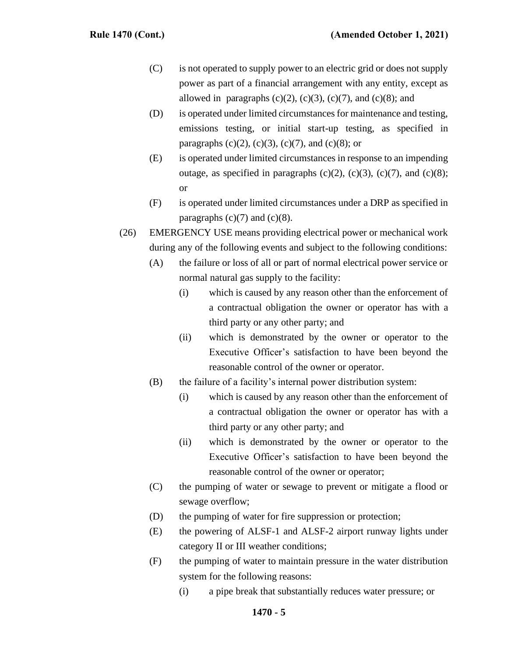- (C) is not operated to supply power to an electric grid or does not supply power as part of a financial arrangement with any entity, except as allowed in paragraphs  $(c)(2)$ ,  $(c)(3)$ ,  $(c)(7)$ , and  $(c)(8)$ ; and
- (D) is operated under limited circumstances for maintenance and testing, emissions testing, or initial start-up testing, as specified in paragraphs (c)(2), (c)(3), (c)(7), and (c)(8); or
- (E) is operated under limited circumstances in response to an impending outage, as specified in paragraphs (c)(2), (c)(3), (c)(7), and (c)(8); or
- (F) is operated under limited circumstances under a DRP as specified in paragraphs  $(c)(7)$  and  $(c)(8)$ .
- (26) EMERGENCY USE means providing electrical power or mechanical work during any of the following events and subject to the following conditions:
	- (A) the failure or loss of all or part of normal electrical power service or normal natural gas supply to the facility:
		- (i) which is caused by any reason other than the enforcement of a contractual obligation the owner or operator has with a third party or any other party; and
		- (ii) which is demonstrated by the owner or operator to the Executive Officer's satisfaction to have been beyond the reasonable control of the owner or operator.
	- (B) the failure of a facility's internal power distribution system:
		- (i) which is caused by any reason other than the enforcement of a contractual obligation the owner or operator has with a third party or any other party; and
		- (ii) which is demonstrated by the owner or operator to the Executive Officer's satisfaction to have been beyond the reasonable control of the owner or operator;
	- (C) the pumping of water or sewage to prevent or mitigate a flood or sewage overflow;
	- (D) the pumping of water for fire suppression or protection;
	- (E) the powering of ALSF-1 and ALSF-2 airport runway lights under category II or III weather conditions;
	- (F) the pumping of water to maintain pressure in the water distribution system for the following reasons:
		- (i) a pipe break that substantially reduces water pressure; or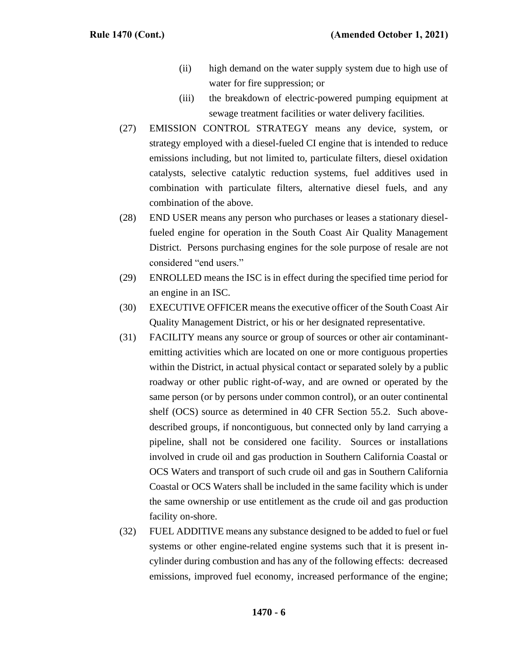- (ii) high demand on the water supply system due to high use of water for fire suppression; or
- (iii) the breakdown of electric-powered pumping equipment at sewage treatment facilities or water delivery facilities.
- (27) EMISSION CONTROL STRATEGY means any device, system, or strategy employed with a diesel-fueled CI engine that is intended to reduce emissions including, but not limited to, particulate filters, diesel oxidation catalysts, selective catalytic reduction systems, fuel additives used in combination with particulate filters, alternative diesel fuels, and any combination of the above.
- (28) END USER means any person who purchases or leases a stationary dieselfueled engine for operation in the South Coast Air Quality Management District. Persons purchasing engines for the sole purpose of resale are not considered "end users."
- (29) ENROLLED means the ISC is in effect during the specified time period for an engine in an ISC.
- (30) EXECUTIVE OFFICER means the executive officer of the South Coast Air Quality Management District, or his or her designated representative.
- (31) FACILITY means any source or group of sources or other air contaminantemitting activities which are located on one or more contiguous properties within the District, in actual physical contact or separated solely by a public roadway or other public right-of-way, and are owned or operated by the same person (or by persons under common control), or an outer continental shelf (OCS) source as determined in 40 CFR Section 55.2. Such abovedescribed groups, if noncontiguous, but connected only by land carrying a pipeline, shall not be considered one facility. Sources or installations involved in crude oil and gas production in Southern California Coastal or OCS Waters and transport of such crude oil and gas in Southern California Coastal or OCS Waters shall be included in the same facility which is under the same ownership or use entitlement as the crude oil and gas production facility on-shore.
- (32) FUEL ADDITIVE means any substance designed to be added to fuel or fuel systems or other engine-related engine systems such that it is present incylinder during combustion and has any of the following effects: decreased emissions, improved fuel economy, increased performance of the engine;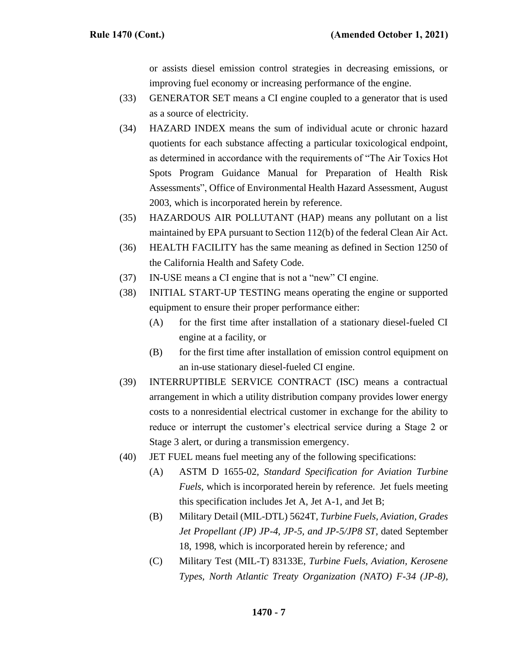or assists diesel emission control strategies in decreasing emissions, or improving fuel economy or increasing performance of the engine.

- (33) GENERATOR SET means a CI engine coupled to a generator that is used as a source of electricity.
- (34) HAZARD INDEX means the sum of individual acute or chronic hazard quotients for each substance affecting a particular toxicological endpoint, as determined in accordance with the requirements of "The Air Toxics Hot Spots Program Guidance Manual for Preparation of Health Risk Assessments", Office of Environmental Health Hazard Assessment, August 2003, which is incorporated herein by reference.
- (35) HAZARDOUS AIR POLLUTANT (HAP) means any pollutant on a list maintained by EPA pursuant to Section 112(b) of the federal Clean Air Act.
- (36) HEALTH FACILITY has the same meaning as defined in Section 1250 of the California Health and Safety Code.
- (37) IN-USE means a CI engine that is not a "new" CI engine.
- (38) INITIAL START-UP TESTING means operating the engine or supported equipment to ensure their proper performance either:
	- (A) for the first time after installation of a stationary diesel-fueled CI engine at a facility, or
	- (B) for the first time after installation of emission control equipment on an in-use stationary diesel-fueled CI engine.
- (39) INTERRUPTIBLE SERVICE CONTRACT (ISC) means a contractual arrangement in which a utility distribution company provides lower energy costs to a nonresidential electrical customer in exchange for the ability to reduce or interrupt the customer's electrical service during a Stage 2 or Stage 3 alert, or during a transmission emergency.
- (40) JET FUEL means fuel meeting any of the following specifications:
	- (A) ASTM D 1655-02*, Standard Specification for Aviation Turbine Fuels*, which is incorporated herein by reference. Jet fuels meeting this specification includes Jet A, Jet A-1, and Jet B;
	- (B) Military Detail (MIL-DTL) 5624T*, Turbine Fuels, Aviation, Grades Jet Propellant (JP) JP-4, JP-5, and JP-5/JP8 ST, dated September* 18, 1998, which is incorporated herein by reference*;* and
	- (C) Military Test (MIL-T) 83133E*, Turbine Fuels, Aviation, Kerosene Types, North Atlantic Treaty Organization (NATO) F-34 (JP-8),*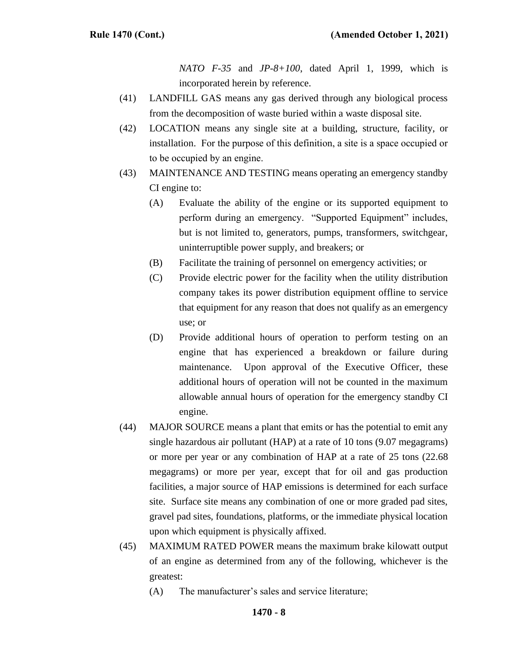*NATO F-35* and *JP-8+100*, dated April 1, 1999, which is incorporated herein by reference.

- (41) LANDFILL GAS means any gas derived through any biological process from the decomposition of waste buried within a waste disposal site.
- (42) LOCATION means any single site at a building, structure, facility, or installation. For the purpose of this definition, a site is a space occupied or to be occupied by an engine.
- (43) MAINTENANCE AND TESTING means operating an emergency standby CI engine to:
	- (A) Evaluate the ability of the engine or its supported equipment to perform during an emergency. "Supported Equipment" includes, but is not limited to, generators, pumps, transformers, switchgear, uninterruptible power supply, and breakers; or
	- (B) Facilitate the training of personnel on emergency activities; or
	- (C) Provide electric power for the facility when the utility distribution company takes its power distribution equipment offline to service that equipment for any reason that does not qualify as an emergency use; or
	- (D) Provide additional hours of operation to perform testing on an engine that has experienced a breakdown or failure during maintenance. Upon approval of the Executive Officer, these additional hours of operation will not be counted in the maximum allowable annual hours of operation for the emergency standby CI engine.
- (44) MAJOR SOURCE means a plant that emits or has the potential to emit any single hazardous air pollutant (HAP) at a rate of 10 tons (9.07 megagrams) or more per year or any combination of HAP at a rate of 25 tons (22.68 megagrams) or more per year, except that for oil and gas production facilities, a major source of HAP emissions is determined for each surface site. Surface site means any combination of one or more graded pad sites, gravel pad sites, foundations, platforms, or the immediate physical location upon which equipment is physically affixed.
- (45) MAXIMUM RATED POWER means the maximum brake kilowatt output of an engine as determined from any of the following, whichever is the greatest:
	- (A) The manufacturer's sales and service literature;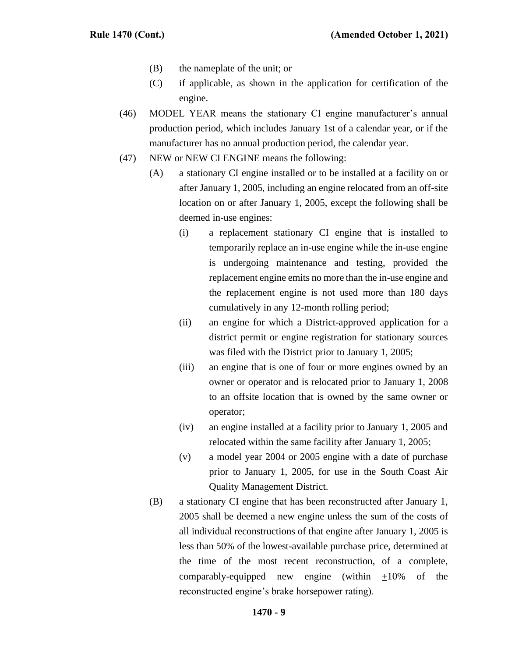- (B) the nameplate of the unit; or
- (C) if applicable, as shown in the application for certification of the engine.
- (46) MODEL YEAR means the stationary CI engine manufacturer's annual production period, which includes January 1st of a calendar year, or if the manufacturer has no annual production period, the calendar year.
- (47) NEW or NEW CI ENGINE means the following:
	- (A) a stationary CI engine installed or to be installed at a facility on or after January 1, 2005, including an engine relocated from an off-site location on or after January 1, 2005, except the following shall be deemed in-use engines:
		- (i) a replacement stationary CI engine that is installed to temporarily replace an in-use engine while the in-use engine is undergoing maintenance and testing, provided the replacement engine emits no more than the in-use engine and the replacement engine is not used more than 180 days cumulatively in any 12-month rolling period;
		- (ii) an engine for which a District-approved application for a district permit or engine registration for stationary sources was filed with the District prior to January 1, 2005;
		- (iii) an engine that is one of four or more engines owned by an owner or operator and is relocated prior to January 1, 2008 to an offsite location that is owned by the same owner or operator;
		- (iv) an engine installed at a facility prior to January 1, 2005 and relocated within the same facility after January 1, 2005;
		- (v) a model year 2004 or 2005 engine with a date of purchase prior to January 1, 2005, for use in the South Coast Air Quality Management District.
	- (B) a stationary CI engine that has been reconstructed after January 1, 2005 shall be deemed a new engine unless the sum of the costs of all individual reconstructions of that engine after January 1, 2005 is less than 50% of the lowest-available purchase price, determined at the time of the most recent reconstruction, of a complete, comparably-equipped new engine (within  $+10\%$  of the reconstructed engine's brake horsepower rating).

#### **1470 - 9**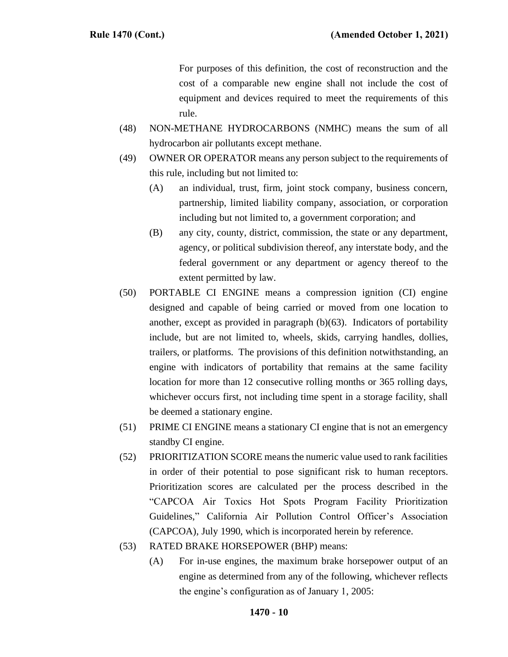For purposes of this definition, the cost of reconstruction and the cost of a comparable new engine shall not include the cost of equipment and devices required to meet the requirements of this rule.

- (48) NON-METHANE HYDROCARBONS (NMHC) means the sum of all hydrocarbon air pollutants except methane.
- (49) OWNER OR OPERATOR means any person subject to the requirements of this rule, including but not limited to:
	- (A) an individual, trust, firm, joint stock company, business concern, partnership, limited liability company, association, or corporation including but not limited to, a government corporation; and
	- (B) any city, county, district, commission, the state or any department, agency, or political subdivision thereof, any interstate body, and the federal government or any department or agency thereof to the extent permitted by law.
- (50) PORTABLE CI ENGINE means a compression ignition (CI) engine designed and capable of being carried or moved from one location to another, except as provided in paragraph (b)(63). Indicators of portability include, but are not limited to, wheels, skids, carrying handles, dollies, trailers, or platforms. The provisions of this definition notwithstanding, an engine with indicators of portability that remains at the same facility location for more than 12 consecutive rolling months or 365 rolling days, whichever occurs first, not including time spent in a storage facility, shall be deemed a stationary engine.
- (51) PRIME CI ENGINE means a stationary CI engine that is not an emergency standby CI engine.
- (52) PRIORITIZATION SCORE means the numeric value used to rank facilities in order of their potential to pose significant risk to human receptors. Prioritization scores are calculated per the process described in the "CAPCOA Air Toxics Hot Spots Program Facility Prioritization Guidelines," California Air Pollution Control Officer's Association (CAPCOA), July 1990, which is incorporated herein by reference.
- (53) RATED BRAKE HORSEPOWER (BHP) means:
	- (A) For in-use engines, the maximum brake horsepower output of an engine as determined from any of the following, whichever reflects the engine's configuration as of January 1, 2005: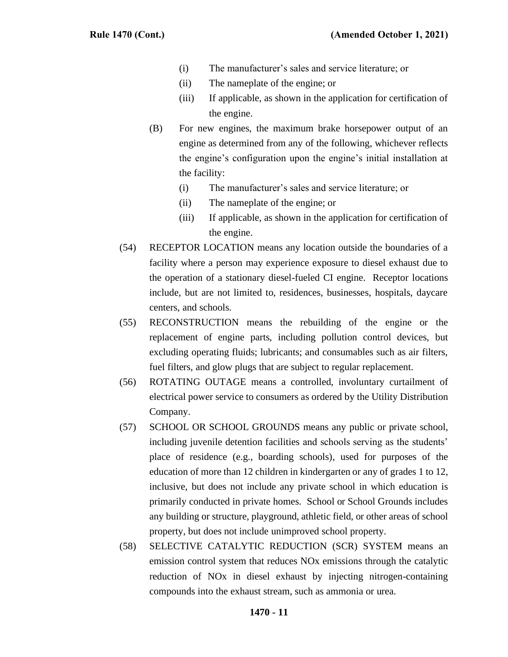- (i) The manufacturer's sales and service literature; or
- (ii) The nameplate of the engine; or
- (iii) If applicable, as shown in the application for certification of the engine.
- (B) For new engines, the maximum brake horsepower output of an engine as determined from any of the following, whichever reflects the engine's configuration upon the engine's initial installation at the facility:
	- (i) The manufacturer's sales and service literature; or
	- (ii) The nameplate of the engine; or
	- (iii) If applicable, as shown in the application for certification of the engine.
- (54) RECEPTOR LOCATION means any location outside the boundaries of a facility where a person may experience exposure to diesel exhaust due to the operation of a stationary diesel-fueled CI engine. Receptor locations include, but are not limited to, residences, businesses, hospitals, daycare centers, and schools.
- (55) RECONSTRUCTION means the rebuilding of the engine or the replacement of engine parts, including pollution control devices, but excluding operating fluids; lubricants; and consumables such as air filters, fuel filters, and glow plugs that are subject to regular replacement.
- (56) ROTATING OUTAGE means a controlled, involuntary curtailment of electrical power service to consumers as ordered by the Utility Distribution Company.
- (57) SCHOOL OR SCHOOL GROUNDS means any public or private school, including juvenile detention facilities and schools serving as the students' place of residence (e.g., boarding schools), used for purposes of the education of more than 12 children in kindergarten or any of grades 1 to 12, inclusive, but does not include any private school in which education is primarily conducted in private homes. School or School Grounds includes any building or structure, playground, athletic field, or other areas of school property, but does not include unimproved school property.
- (58) SELECTIVE CATALYTIC REDUCTION (SCR) SYSTEM means an emission control system that reduces NOx emissions through the catalytic reduction of NOx in diesel exhaust by injecting nitrogen-containing compounds into the exhaust stream, such as ammonia or urea.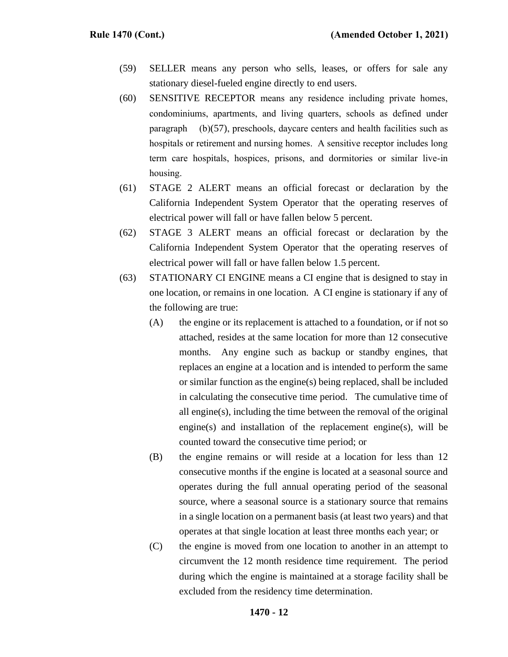- (59) SELLER means any person who sells, leases, or offers for sale any stationary diesel-fueled engine directly to end users.
- (60) SENSITIVE RECEPTOR means any residence including private homes, condominiums, apartments, and living quarters, schools as defined under paragraph (b)(57), preschools, daycare centers and health facilities such as hospitals or retirement and nursing homes. A sensitive receptor includes long term care hospitals, hospices, prisons, and dormitories or similar live-in housing.
- (61) STAGE 2 ALERT means an official forecast or declaration by the California Independent System Operator that the operating reserves of electrical power will fall or have fallen below 5 percent.
- (62) STAGE 3 ALERT means an official forecast or declaration by the California Independent System Operator that the operating reserves of electrical power will fall or have fallen below 1.5 percent.
- (63) STATIONARY CI ENGINE means a CI engine that is designed to stay in one location, or remains in one location. A CI engine is stationary if any of the following are true:
	- (A) the engine or its replacement is attached to a foundation, or if not so attached, resides at the same location for more than 12 consecutive months. Any engine such as backup or standby engines, that replaces an engine at a location and is intended to perform the same or similar function as the engine(s) being replaced, shall be included in calculating the consecutive time period. The cumulative time of all engine(s), including the time between the removal of the original engine(s) and installation of the replacement engine(s), will be counted toward the consecutive time period; or
	- (B) the engine remains or will reside at a location for less than 12 consecutive months if the engine is located at a seasonal source and operates during the full annual operating period of the seasonal source, where a seasonal source is a stationary source that remains in a single location on a permanent basis (at least two years) and that operates at that single location at least three months each year; or
	- (C) the engine is moved from one location to another in an attempt to circumvent the 12 month residence time requirement. The period during which the engine is maintained at a storage facility shall be excluded from the residency time determination.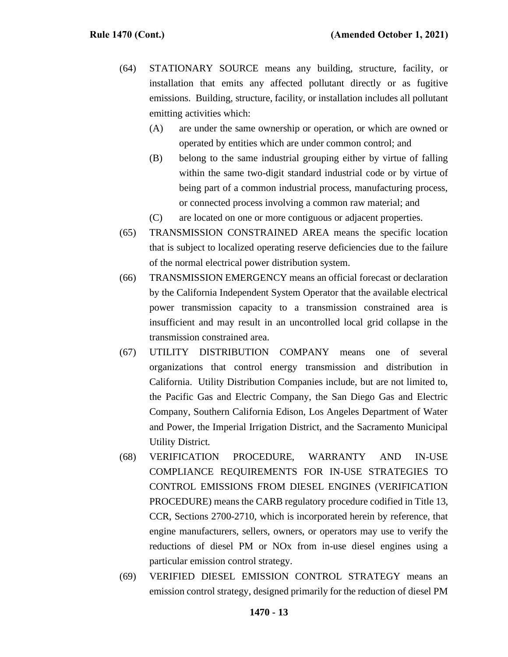- (64) STATIONARY SOURCE means any building, structure, facility, or installation that emits any affected pollutant directly or as fugitive emissions. Building, structure, facility, or installation includes all pollutant emitting activities which:
	- (A) are under the same ownership or operation, or which are owned or operated by entities which are under common control; and
	- (B) belong to the same industrial grouping either by virtue of falling within the same two-digit standard industrial code or by virtue of being part of a common industrial process, manufacturing process, or connected process involving a common raw material; and
	- (C) are located on one or more contiguous or adjacent properties.
- (65) TRANSMISSION CONSTRAINED AREA means the specific location that is subject to localized operating reserve deficiencies due to the failure of the normal electrical power distribution system.
- (66) TRANSMISSION EMERGENCY means an official forecast or declaration by the California Independent System Operator that the available electrical power transmission capacity to a transmission constrained area is insufficient and may result in an uncontrolled local grid collapse in the transmission constrained area.
- (67) UTILITY DISTRIBUTION COMPANY means one of several organizations that control energy transmission and distribution in California. Utility Distribution Companies include, but are not limited to, the Pacific Gas and Electric Company, the San Diego Gas and Electric Company, Southern California Edison, Los Angeles Department of Water and Power, the Imperial Irrigation District, and the Sacramento Municipal Utility District.
- (68) VERIFICATION PROCEDURE, WARRANTY AND IN-USE COMPLIANCE REQUIREMENTS FOR IN-USE STRATEGIES TO CONTROL EMISSIONS FROM DIESEL ENGINES (VERIFICATION PROCEDURE) means the CARB regulatory procedure codified in Title 13, CCR, Sections 2700-2710*,* which is incorporated herein by reference, that engine manufacturers, sellers, owners, or operators may use to verify the reductions of diesel PM or NOx from in-use diesel engines using a particular emission control strategy.
- (69) VERIFIED DIESEL EMISSION CONTROL STRATEGY means an emission control strategy, designed primarily for the reduction of diesel PM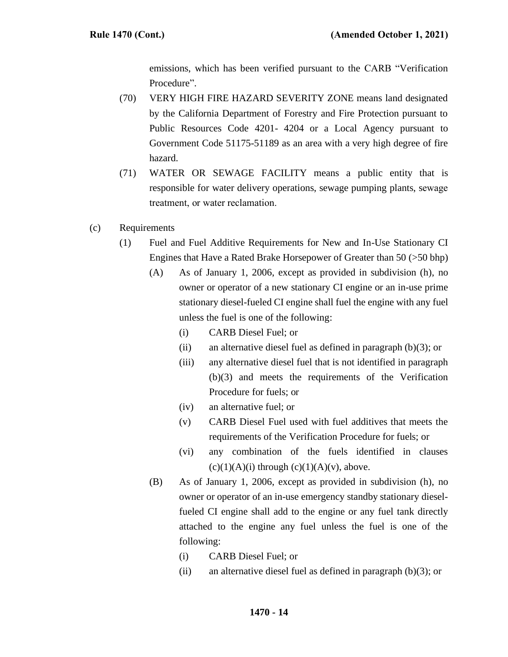emissions, which has been verified pursuant to the CARB "Verification Procedure".

- (70) VERY HIGH FIRE HAZARD SEVERITY ZONE means land designated by the California Department of Forestry and Fire Protection pursuant to Public Resources Code 4201- 4204 or a Local Agency pursuant to Government Code 51175-51189 as an area with a very high degree of fire hazard.
- (71) WATER OR SEWAGE FACILITY means a public entity that is responsible for water delivery operations, sewage pumping plants, sewage treatment, or water reclamation.
- (c) Requirements
	- (1) Fuel and Fuel Additive Requirements for New and In-Use Stationary CI Engines that Have a Rated Brake Horsepower of Greater than 50 (>50 bhp)
		- (A) As of January 1, 2006, except as provided in subdivision (h), no owner or operator of a new stationary CI engine or an in-use prime stationary diesel-fueled CI engine shall fuel the engine with any fuel unless the fuel is one of the following:
			- (i) CARB Diesel Fuel; or
			- (ii) an alternative diesel fuel as defined in paragraph (b)(3); or
			- (iii) any alternative diesel fuel that is not identified in paragraph (b)(3) and meets the requirements of the Verification Procedure for fuels; or
			- (iv) an alternative fuel; or
			- (v) CARB Diesel Fuel used with fuel additives that meets the requirements of the Verification Procedure for fuels; or
			- (vi) any combination of the fuels identified in clauses  $(c)(1)(A)(i)$  through  $(c)(1)(A)(v)$ , above.
		- (B) As of January 1, 2006, except as provided in subdivision (h), no owner or operator of an in-use emergency standby stationary dieselfueled CI engine shall add to the engine or any fuel tank directly attached to the engine any fuel unless the fuel is one of the following:
			- (i) CARB Diesel Fuel; or
			- (ii) an alternative diesel fuel as defined in paragraph (b)(3); or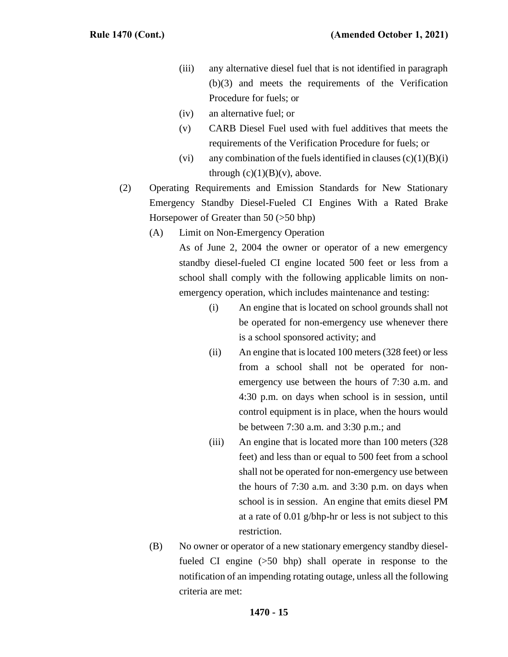- (iii) any alternative diesel fuel that is not identified in paragraph (b)(3) and meets the requirements of the Verification Procedure for fuels; or
- (iv) an alternative fuel; or
- (v) CARB Diesel Fuel used with fuel additives that meets the requirements of the Verification Procedure for fuels; or
- (vi) any combination of the fuels identified in clauses  $(c)(1)(B)(i)$ through  $(c)(1)(B)(v)$ , above.
- (2) Operating Requirements and Emission Standards for New Stationary Emergency Standby Diesel-Fueled CI Engines With a Rated Brake Horsepower of Greater than 50 (>50 bhp)
	- (A) Limit on Non-Emergency Operation

As of June 2, 2004 the owner or operator of a new emergency standby diesel-fueled CI engine located 500 feet or less from a school shall comply with the following applicable limits on nonemergency operation, which includes maintenance and testing:

- (i) An engine that is located on school grounds shall not be operated for non-emergency use whenever there is a school sponsored activity; and
- (ii) An engine that is located 100 meters (328 feet) or less from a school shall not be operated for nonemergency use between the hours of 7:30 a.m. and 4:30 p.m. on days when school is in session, until control equipment is in place, when the hours would be between 7:30 a.m. and 3:30 p.m.; and
- (iii) An engine that is located more than 100 meters (328 feet) and less than or equal to 500 feet from a school shall not be operated for non-emergency use between the hours of 7:30 a.m. and 3:30 p.m. on days when school is in session. An engine that emits diesel PM at a rate of 0.01 g/bhp-hr or less is not subject to this restriction.
- (B) No owner or operator of a new stationary emergency standby dieselfueled CI engine (>50 bhp) shall operate in response to the notification of an impending rotating outage, unless all the following criteria are met: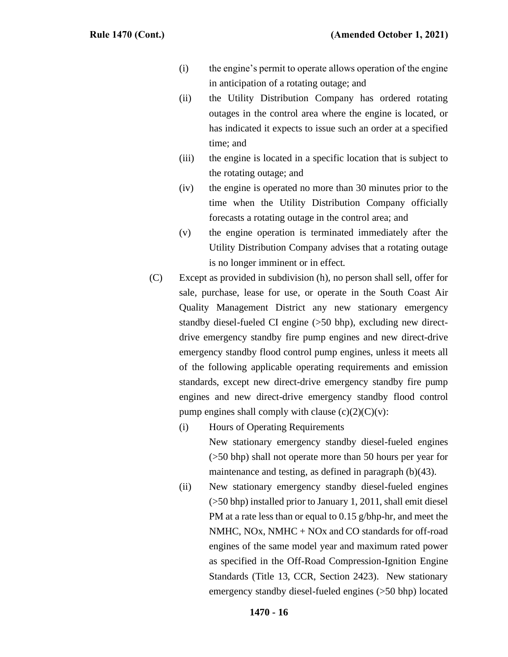- (i) the engine's permit to operate allows operation of the engine in anticipation of a rotating outage; and
- (ii) the Utility Distribution Company has ordered rotating outages in the control area where the engine is located, or has indicated it expects to issue such an order at a specified time; and
- (iii) the engine is located in a specific location that is subject to the rotating outage; and
- (iv) the engine is operated no more than 30 minutes prior to the time when the Utility Distribution Company officially forecasts a rotating outage in the control area; and
- (v) the engine operation is terminated immediately after the Utility Distribution Company advises that a rotating outage is no longer imminent or in effect.
- (C) Except as provided in subdivision (h), no person shall sell, offer for sale, purchase, lease for use, or operate in the South Coast Air Quality Management District any new stationary emergency standby diesel-fueled CI engine (>50 bhp), excluding new directdrive emergency standby fire pump engines and new direct-drive emergency standby flood control pump engines, unless it meets all of the following applicable operating requirements and emission standards, except new direct-drive emergency standby fire pump engines and new direct-drive emergency standby flood control pump engines shall comply with clause  $(c)(2)(C)(v)$ :
	- (i) Hours of Operating Requirements New stationary emergency standby diesel-fueled engines (>50 bhp) shall not operate more than 50 hours per year for maintenance and testing, as defined in paragraph (b)(43).
	- (ii) New stationary emergency standby diesel-fueled engines (>50 bhp) installed prior to January 1, 2011, shall emit diesel PM at a rate less than or equal to 0.15 g/bhp-hr, and meet the NMHC, NOx, NMHC + NOx and CO standards for off-road engines of the same model year and maximum rated power as specified in the Off-Road Compression-Ignition Engine Standards (Title 13, CCR, Section 2423). New stationary emergency standby diesel-fueled engines (>50 bhp) located

### **1470 - 16**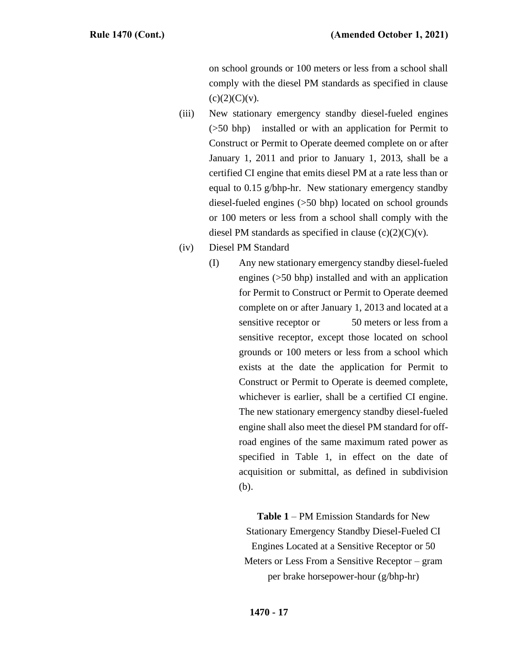on school grounds or 100 meters or less from a school shall comply with the diesel PM standards as specified in clause  $(c)(2)(C)(v).$ 

- (iii) New stationary emergency standby diesel-fueled engines (>50 bhp) installed or with an application for Permit to Construct or Permit to Operate deemed complete on or after January 1, 2011 and prior to January 1, 2013, shall be a certified CI engine that emits diesel PM at a rate less than or equal to 0.15 g/bhp-hr. New stationary emergency standby diesel-fueled engines (>50 bhp) located on school grounds or 100 meters or less from a school shall comply with the diesel PM standards as specified in clause  $(c)(2)(C)(v)$ .
- (iv) Diesel PM Standard
	- (I) Any new stationary emergency standby diesel-fueled engines (>50 bhp) installed and with an application for Permit to Construct or Permit to Operate deemed complete on or after January 1, 2013 and located at a sensitive receptor or 50 meters or less from a sensitive receptor, except those located on school grounds or 100 meters or less from a school which exists at the date the application for Permit to Construct or Permit to Operate is deemed complete, whichever is earlier, shall be a certified CI engine. The new stationary emergency standby diesel-fueled engine shall also meet the diesel PM standard for offroad engines of the same maximum rated power as specified in Table 1, in effect on the date of acquisition or submittal, as defined in subdivision (b).

**Table 1** – PM Emission Standards for New Stationary Emergency Standby Diesel-Fueled CI Engines Located at a Sensitive Receptor or 50 Meters or Less From a Sensitive Receptor – gram per brake horsepower-hour (g/bhp-hr)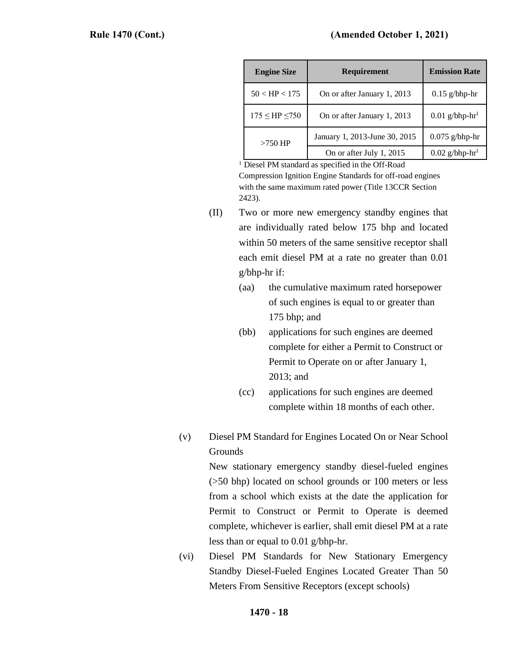| <b>Engine Size</b>     | <b>Requirement</b>            | <b>Emission Rate</b>         |
|------------------------|-------------------------------|------------------------------|
| $50 <$ HP $< 175$      | On or after January 1, 2013   | $0.15$ g/bhp-hr              |
| $175 \leq HP \leq 750$ | On or after January 1, 2013   | $0.01$ g/bhp-hr <sup>1</sup> |
| $>750$ HP              | January 1, 2013-June 30, 2015 | $0.075$ g/bhp-hr             |
|                        | On or after July 1, 2015      | $0.02$ g/bhp-hr <sup>1</sup> |

<sup>1</sup> Diesel PM standard as specified in the Off-Road

Compression Ignition Engine Standards for off-road engines with the same maximum rated power (Title 13CCR Section 2423).

- (II) Two or more new emergency standby engines that are individually rated below 175 bhp and located within 50 meters of the same sensitive receptor shall each emit diesel PM at a rate no greater than 0.01 g/bhp-hr if:
	- (aa) the cumulative maximum rated horsepower of such engines is equal to or greater than 175 bhp; and
	- (bb) applications for such engines are deemed complete for either a Permit to Construct or Permit to Operate on or after January 1, 2013; and
	- (cc) applications for such engines are deemed complete within 18 months of each other.
- (v) Diesel PM Standard for Engines Located On or Near School Grounds

New stationary emergency standby diesel-fueled engines (>50 bhp) located on school grounds or 100 meters or less from a school which exists at the date the application for Permit to Construct or Permit to Operate is deemed complete, whichever is earlier, shall emit diesel PM at a rate less than or equal to 0.01 g/bhp-hr.

(vi) Diesel PM Standards for New Stationary Emergency Standby Diesel-Fueled Engines Located Greater Than 50 Meters From Sensitive Receptors (except schools)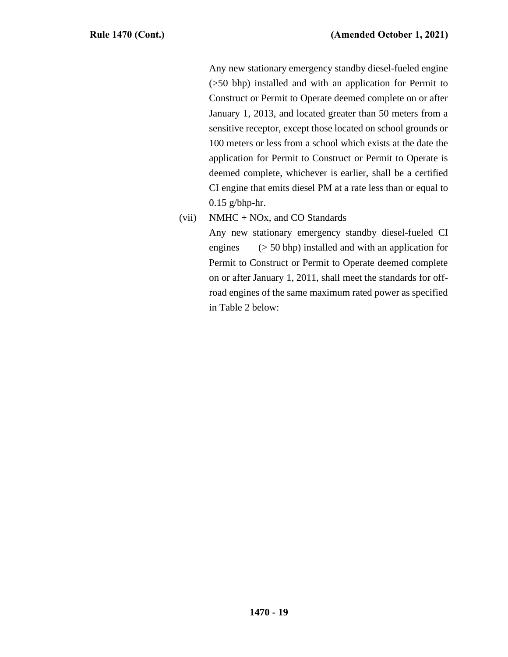Any new stationary emergency standby diesel-fueled engine (>50 bhp) installed and with an application for Permit to Construct or Permit to Operate deemed complete on or after January 1, 2013, and located greater than 50 meters from a sensitive receptor, except those located on school grounds or 100 meters or less from a school which exists at the date the application for Permit to Construct or Permit to Operate is deemed complete, whichever is earlier, shall be a certified CI engine that emits diesel PM at a rate less than or equal to 0.15 g/bhp-hr.

(vii) NMHC + NOx, and CO Standards

Any new stationary emergency standby diesel-fueled CI engines (> 50 bhp) installed and with an application for Permit to Construct or Permit to Operate deemed complete on or after January 1, 2011, shall meet the standards for offroad engines of the same maximum rated power as specified in Table 2 below: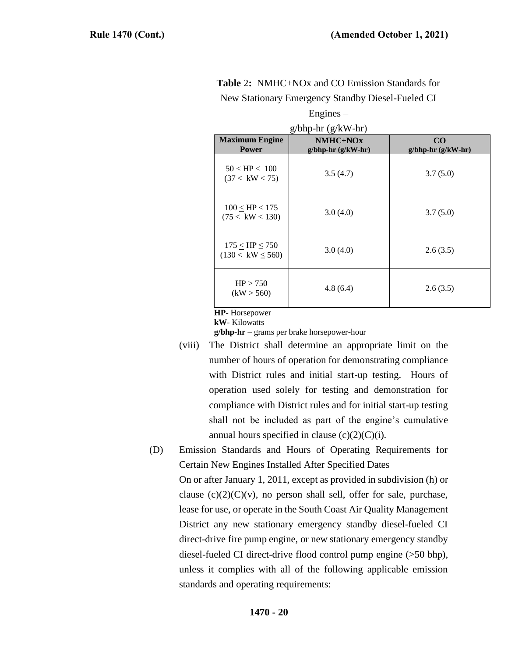| $g/bhp-hr (g/kW-hr)$                           |                                   |                           |  |
|------------------------------------------------|-----------------------------------|---------------------------|--|
| <b>Maximum Engine</b><br><b>Power</b>          | $NMHC+NOx$<br>$g/bhp-hr(g/kW-hr)$ | CO<br>$g/bhp-hr(g/kW-hr)$ |  |
| $50 <$ HP $< 100$<br>(37 < kW < 75)            | 3.5(4.7)                          | 3.7(5.0)                  |  |
| $100 \leq HP < 175$<br>(75 < kW < 130)         | 3.0(4.0)                          | 3.7(5.0)                  |  |
| $175 <$ HP $\leq 750$<br>$(130 < kW \leq 560)$ | 3.0(4.0)                          | 2.6(3.5)                  |  |
| HP > 750<br>(kW > 560)                         | 4.8(6.4)                          | 2.6(3.5)                  |  |

| <b>Table 2:</b> NMHC+NOx and CO Emission Standards for |  |
|--------------------------------------------------------|--|
| New Stationary Emergency Standby Diesel-Fueled CI      |  |

Engines –

**HP**- Horsepower

**kW**- Kilowatts

**g/bhp-hr** – grams per brake horsepower-hour

- (viii) The District shall determine an appropriate limit on the number of hours of operation for demonstrating compliance with District rules and initial start-up testing. Hours of operation used solely for testing and demonstration for compliance with District rules and for initial start-up testing shall not be included as part of the engine's cumulative annual hours specified in clause  $(c)(2)(C)(i)$ .
- (D) Emission Standards and Hours of Operating Requirements for Certain New Engines Installed After Specified Dates

On or after January 1, 2011, except as provided in subdivision (h) or clause  $(c)(2)(C)(v)$ , no person shall sell, offer for sale, purchase, lease for use, or operate in the South Coast Air Quality Management District any new stationary emergency standby diesel-fueled CI direct-drive fire pump engine, or new stationary emergency standby diesel-fueled CI direct-drive flood control pump engine (>50 bhp), unless it complies with all of the following applicable emission standards and operating requirements: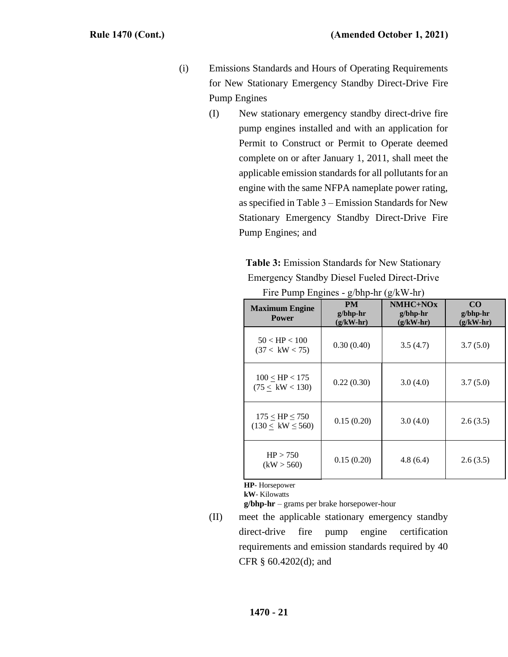- (i) Emissions Standards and Hours of Operating Requirements for New Stationary Emergency Standby Direct-Drive Fire Pump Engines
	- (I) New stationary emergency standby direct-drive fire pump engines installed and with an application for Permit to Construct or Permit to Operate deemed complete on or after January 1, 2011, shall meet the applicable emission standards for all pollutants for an engine with the same NFPA nameplate power rating, as specified in Table 3 – Emission Standards for New Stationary Emergency Standby Direct-Drive Fire Pump Engines; and

**Table 3:** Emission Standards for New Stationary Emergency Standby Diesel Fueled Direct-Drive

| <b>Maximum Engine</b><br><b>Power</b>          | <b>PM</b><br>$g/b$ hp-hr<br>$(g/kW-hr)$ | $NMHC+NOx$<br>$g/b$ hp-hr<br>$(g/kW-hr)$ | CO<br>$g/b$ hp-hr<br>$(g/kW-hr)$ |
|------------------------------------------------|-----------------------------------------|------------------------------------------|----------------------------------|
| $50 <$ HP $< 100$<br>(37 < kW < 75)            | 0.30(0.40)                              | 3.5(4.7)                                 | 3.7(5.0)                         |
| $100 <$ HP $< 175$<br>(75 < kW < 130)          | 0.22(0.30)                              | 3.0(4.0)                                 | 3.7(5.0)                         |
| $175 <$ HP $\leq 750$<br>$(130 < kW \leq 560)$ | 0.15(0.20)                              | 3.0(4.0)                                 | 2.6(3.5)                         |
| HP > 750<br>(kW > 560)                         | 0.15(0.20)                              | 4.8(6.4)                                 | 2.6(3.5)                         |

Fire Pump Engines - g/bhp-hr (g/kW-hr)

**HP**- Horsepower

**kW**- Kilowatts

**g/bhp-hr** – grams per brake horsepower-hour

(II) meet the applicable stationary emergency standby direct-drive fire pump engine certification requirements and emission standards required by 40 CFR § 60.4202(d); and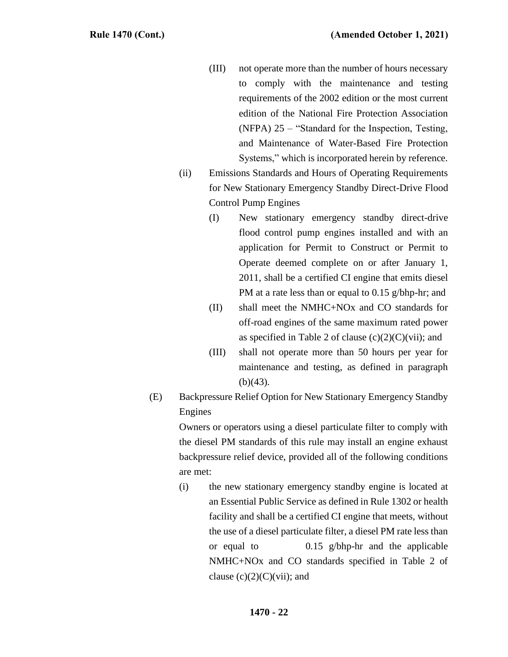- (III) not operate more than the number of hours necessary to comply with the maintenance and testing requirements of the 2002 edition or the most current edition of the National Fire Protection Association (NFPA) 25 – "Standard for the Inspection, Testing, and Maintenance of Water-Based Fire Protection Systems," which is incorporated herein by reference.
- (ii) Emissions Standards and Hours of Operating Requirements for New Stationary Emergency Standby Direct-Drive Flood Control Pump Engines
	- (I) New stationary emergency standby direct-drive flood control pump engines installed and with an application for Permit to Construct or Permit to Operate deemed complete on or after January 1, 2011, shall be a certified CI engine that emits diesel PM at a rate less than or equal to 0.15 g/bhp-hr; and
	- (II) shall meet the NMHC+NOx and CO standards for off-road engines of the same maximum rated power as specified in Table 2 of clause  $(c)(2)(C)(vi)$ ; and
	- (III) shall not operate more than 50 hours per year for maintenance and testing, as defined in paragraph  $(b)(43)$ .
- (E) Backpressure Relief Option for New Stationary Emergency Standby Engines

Owners or operators using a diesel particulate filter to comply with the diesel PM standards of this rule may install an engine exhaust backpressure relief device, provided all of the following conditions are met:

(i) the new stationary emergency standby engine is located at an Essential Public Service as defined in Rule 1302 or health facility and shall be a certified CI engine that meets, without the use of a diesel particulate filter, a diesel PM rate less than or equal to 0.15 g/bhp-hr and the applicable NMHC+NOx and CO standards specified in Table 2 of clause  $(c)(2)(C)(\n{\rm vii})$ ; and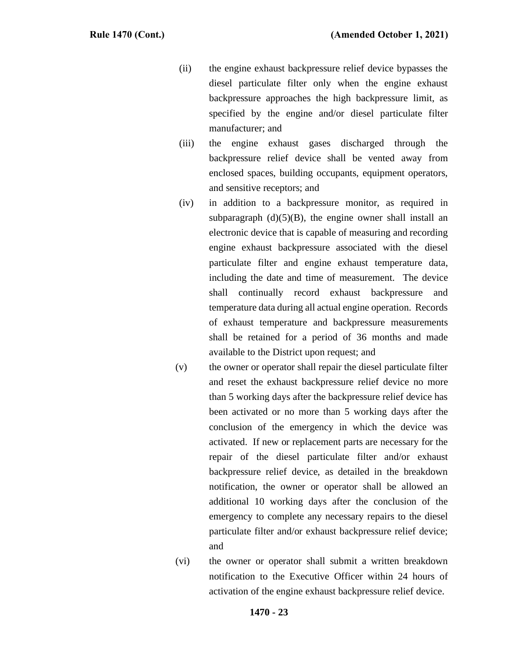- (ii) the engine exhaust backpressure relief device bypasses the diesel particulate filter only when the engine exhaust backpressure approaches the high backpressure limit, as specified by the engine and/or diesel particulate filter manufacturer; and
- (iii) the engine exhaust gases discharged through the backpressure relief device shall be vented away from enclosed spaces, building occupants, equipment operators, and sensitive receptors; and
- (iv) in addition to a backpressure monitor, as required in subparagraph  $(d)(5)(B)$ , the engine owner shall install an electronic device that is capable of measuring and recording engine exhaust backpressure associated with the diesel particulate filter and engine exhaust temperature data, including the date and time of measurement. The device shall continually record exhaust backpressure and temperature data during all actual engine operation. Records of exhaust temperature and backpressure measurements shall be retained for a period of 36 months and made available to the District upon request; and
- (v) the owner or operator shall repair the diesel particulate filter and reset the exhaust backpressure relief device no more than 5 working days after the backpressure relief device has been activated or no more than 5 working days after the conclusion of the emergency in which the device was activated. If new or replacement parts are necessary for the repair of the diesel particulate filter and/or exhaust backpressure relief device, as detailed in the breakdown notification, the owner or operator shall be allowed an additional 10 working days after the conclusion of the emergency to complete any necessary repairs to the diesel particulate filter and/or exhaust backpressure relief device; and
- (vi) the owner or operator shall submit a written breakdown notification to the Executive Officer within 24 hours of activation of the engine exhaust backpressure relief device.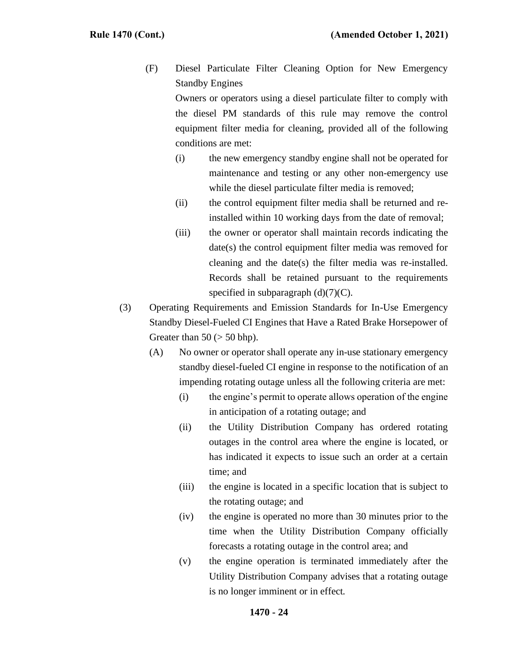(F) Diesel Particulate Filter Cleaning Option for New Emergency Standby Engines

Owners or operators using a diesel particulate filter to comply with the diesel PM standards of this rule may remove the control equipment filter media for cleaning, provided all of the following conditions are met:

- (i) the new emergency standby engine shall not be operated for maintenance and testing or any other non-emergency use while the diesel particulate filter media is removed;
- (ii) the control equipment filter media shall be returned and reinstalled within 10 working days from the date of removal;
- (iii) the owner or operator shall maintain records indicating the date(s) the control equipment filter media was removed for cleaning and the date(s) the filter media was re-installed. Records shall be retained pursuant to the requirements specified in subparagraph  $(d)(7)(C)$ .
- (3) Operating Requirements and Emission Standards for In-Use Emergency Standby Diesel-Fueled CI Engines that Have a Rated Brake Horsepower of Greater than  $50$  ( $> 50$  bhp).
	- (A) No owner or operator shall operate any in-use stationary emergency standby diesel-fueled CI engine in response to the notification of an impending rotating outage unless all the following criteria are met:
		- (i) the engine's permit to operate allows operation of the engine in anticipation of a rotating outage; and
		- (ii) the Utility Distribution Company has ordered rotating outages in the control area where the engine is located, or has indicated it expects to issue such an order at a certain time; and
		- (iii) the engine is located in a specific location that is subject to the rotating outage; and
		- (iv) the engine is operated no more than 30 minutes prior to the time when the Utility Distribution Company officially forecasts a rotating outage in the control area; and
		- (v) the engine operation is terminated immediately after the Utility Distribution Company advises that a rotating outage is no longer imminent or in effect.

# **1470 - 24**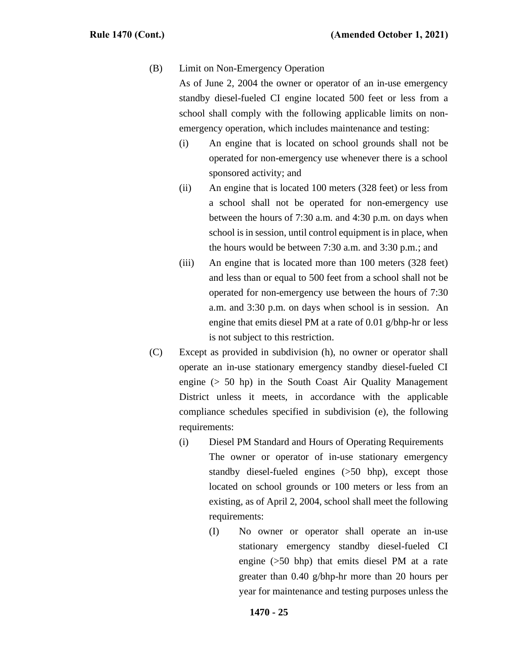#### (B) Limit on Non-Emergency Operation

As of June 2, 2004 the owner or operator of an in-use emergency standby diesel-fueled CI engine located 500 feet or less from a school shall comply with the following applicable limits on nonemergency operation, which includes maintenance and testing:

- (i) An engine that is located on school grounds shall not be operated for non-emergency use whenever there is a school sponsored activity; and
- (ii) An engine that is located 100 meters (328 feet) or less from a school shall not be operated for non-emergency use between the hours of 7:30 a.m. and 4:30 p.m. on days when school is in session, until control equipment is in place, when the hours would be between 7:30 a.m. and 3:30 p.m.; and
- (iii) An engine that is located more than 100 meters (328 feet) and less than or equal to 500 feet from a school shall not be operated for non-emergency use between the hours of 7:30 a.m. and 3:30 p.m. on days when school is in session. An engine that emits diesel PM at a rate of 0.01 g/bhp-hr or less is not subject to this restriction.
- (C) Except as provided in subdivision (h), no owner or operator shall operate an in-use stationary emergency standby diesel-fueled CI engine  $(> 50$  hp) in the South Coast Air Quality Management District unless it meets, in accordance with the applicable compliance schedules specified in subdivision (e), the following requirements:
	- (i) Diesel PM Standard and Hours of Operating Requirements The owner or operator of in-use stationary emergency standby diesel-fueled engines (>50 bhp), except those located on school grounds or 100 meters or less from an existing, as of April 2, 2004, school shall meet the following requirements:
		- (I) No owner or operator shall operate an in-use stationary emergency standby diesel-fueled CI engine (>50 bhp) that emits diesel PM at a rate greater than 0.40 g/bhp-hr more than 20 hours per year for maintenance and testing purposes unless the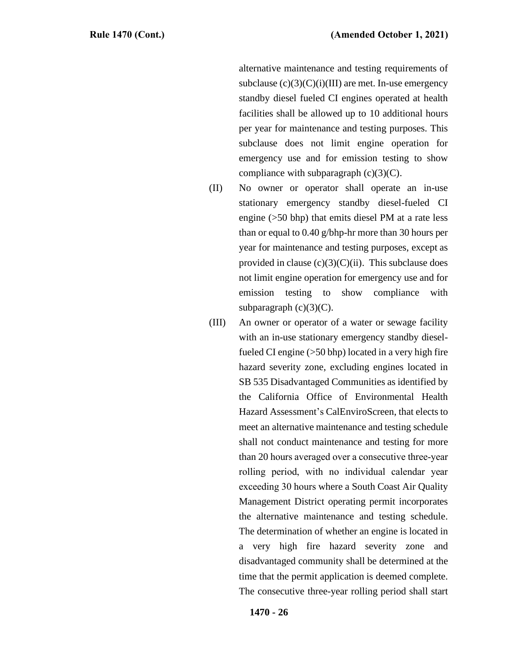alternative maintenance and testing requirements of subclause  $(c)(3)(C)(i)(III)$  are met. In-use emergency standby diesel fueled CI engines operated at health facilities shall be allowed up to 10 additional hours per year for maintenance and testing purposes. This subclause does not limit engine operation for emergency use and for emission testing to show compliance with subparagraph  $(c)(3)(C)$ .

- (II) No owner or operator shall operate an in-use stationary emergency standby diesel-fueled CI engine (>50 bhp) that emits diesel PM at a rate less than or equal to 0.40 g/bhp-hr more than 30 hours per year for maintenance and testing purposes, except as provided in clause  $(c)(3)(C)(ii)$ . This subclause does not limit engine operation for emergency use and for emission testing to show compliance with subparagraph  $(c)(3)(C)$ .
- (III) An owner or operator of a water or sewage facility with an in-use stationary emergency standby dieselfueled CI engine (>50 bhp) located in a very high fire hazard severity zone, excluding engines located in SB 535 Disadvantaged Communities as identified by the California Office of Environmental Health Hazard Assessment's CalEnviroScreen, that elects to meet an alternative maintenance and testing schedule shall not conduct maintenance and testing for more than 20 hours averaged over a consecutive three-year rolling period, with no individual calendar year exceeding 30 hours where a South Coast Air Quality Management District operating permit incorporates the alternative maintenance and testing schedule. The determination of whether an engine is located in a very high fire hazard severity zone and disadvantaged community shall be determined at the time that the permit application is deemed complete. The consecutive three-year rolling period shall start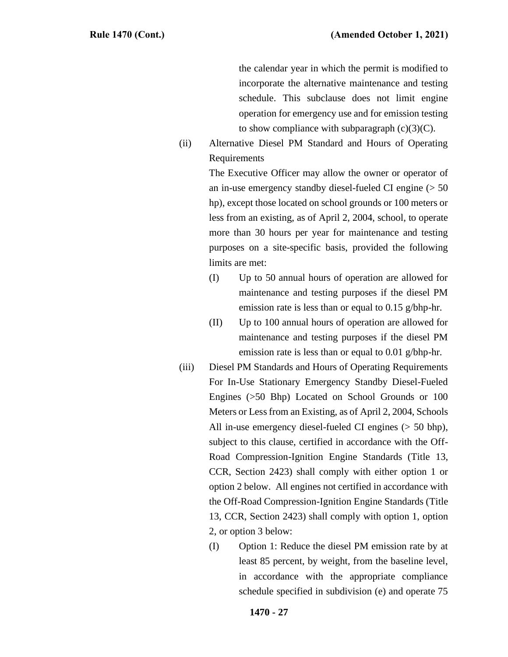the calendar year in which the permit is modified to incorporate the alternative maintenance and testing schedule. This subclause does not limit engine operation for emergency use and for emission testing to show compliance with subparagraph  $(c)(3)(C)$ .

(ii) Alternative Diesel PM Standard and Hours of Operating Requirements

> The Executive Officer may allow the owner or operator of an in-use emergency standby diesel-fueled CI engine (> 50 hp), except those located on school grounds or 100 meters or less from an existing, as of April 2, 2004, school, to operate more than 30 hours per year for maintenance and testing purposes on a site-specific basis, provided the following limits are met:

- (I) Up to 50 annual hours of operation are allowed for maintenance and testing purposes if the diesel PM emission rate is less than or equal to 0.15 g/bhp-hr.
- (II) Up to 100 annual hours of operation are allowed for maintenance and testing purposes if the diesel PM emission rate is less than or equal to 0.01 g/bhp-hr.
- (iii) Diesel PM Standards and Hours of Operating Requirements For In-Use Stationary Emergency Standby Diesel-Fueled Engines (>50 Bhp) Located on School Grounds or 100 Meters or Less from an Existing, as of April 2, 2004, Schools All in-use emergency diesel-fueled CI engines (> 50 bhp), subject to this clause, certified in accordance with the Off-Road Compression-Ignition Engine Standards (Title 13, CCR, Section 2423) shall comply with either option 1 or option 2 below. All engines not certified in accordance with the Off-Road Compression-Ignition Engine Standards (Title 13, CCR, Section 2423) shall comply with option 1, option 2, or option 3 below:
	- (I) Option 1: Reduce the diesel PM emission rate by at least 85 percent, by weight, from the baseline level, in accordance with the appropriate compliance schedule specified in subdivision (e) and operate 75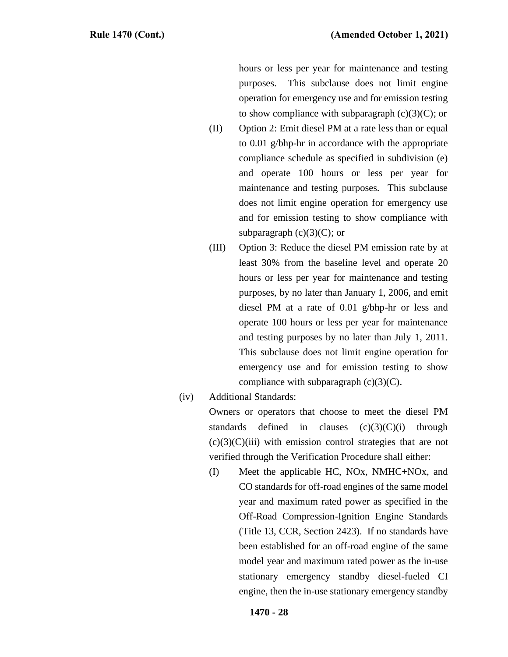hours or less per year for maintenance and testing purposes. This subclause does not limit engine operation for emergency use and for emission testing to show compliance with subparagraph  $(c)(3)(C)$ ; or

- (II) Option 2: Emit diesel PM at a rate less than or equal to 0.01 g/bhp-hr in accordance with the appropriate compliance schedule as specified in subdivision (e) and operate 100 hours or less per year for maintenance and testing purposes. This subclause does not limit engine operation for emergency use and for emission testing to show compliance with subparagraph  $(c)(3)(C)$ ; or
- (III) Option 3: Reduce the diesel PM emission rate by at least 30% from the baseline level and operate 20 hours or less per year for maintenance and testing purposes, by no later than January 1, 2006, and emit diesel PM at a rate of 0.01 g/bhp-hr or less and operate 100 hours or less per year for maintenance and testing purposes by no later than July 1, 2011. This subclause does not limit engine operation for emergency use and for emission testing to show compliance with subparagraph  $(c)(3)(C)$ .
- (iv) Additional Standards:

Owners or operators that choose to meet the diesel PM standards defined in clauses  $(c)(3)(C)(i)$  through  $(c)(3)(C)(iii)$  with emission control strategies that are not verified through the Verification Procedure shall either:

(I) Meet the applicable HC, NOx, NMHC+NOx, and CO standards for off-road engines of the same model year and maximum rated power as specified in the Off-Road Compression-Ignition Engine Standards (Title 13, CCR, Section 2423). If no standards have been established for an off-road engine of the same model year and maximum rated power as the in-use stationary emergency standby diesel-fueled CI engine, then the in-use stationary emergency standby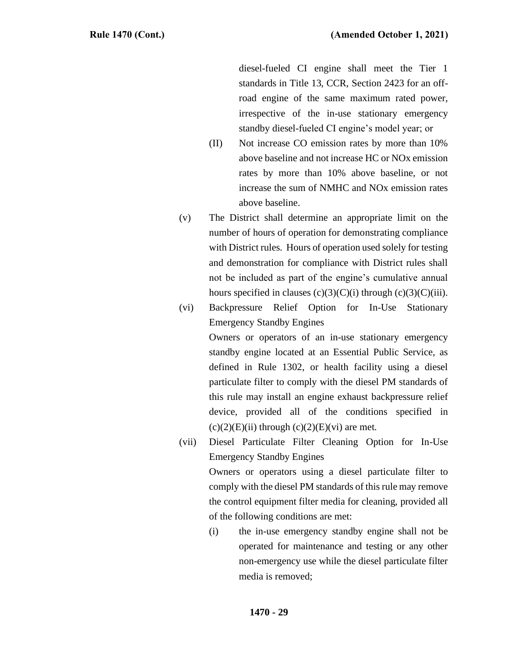diesel-fueled CI engine shall meet the Tier 1 standards in Title 13, CCR, Section 2423 for an offroad engine of the same maximum rated power, irrespective of the in-use stationary emergency standby diesel-fueled CI engine's model year; or

- (II) Not increase CO emission rates by more than 10% above baseline and not increase HC or NOx emission rates by more than 10% above baseline, or not increase the sum of NMHC and NOx emission rates above baseline.
- (v) The District shall determine an appropriate limit on the number of hours of operation for demonstrating compliance with District rules. Hours of operation used solely for testing and demonstration for compliance with District rules shall not be included as part of the engine's cumulative annual hours specified in clauses  $(c)(3)(C)(i)$  through  $(c)(3)(C)(iii)$ .
- (vi) Backpressure Relief Option for In-Use Stationary Emergency Standby Engines

Owners or operators of an in-use stationary emergency standby engine located at an Essential Public Service, as defined in Rule 1302, or health facility using a diesel particulate filter to comply with the diesel PM standards of this rule may install an engine exhaust backpressure relief device, provided all of the conditions specified in  $(c)(2)(E)(ii)$  through  $(c)(2)(E)(vi)$  are met.

- (vii) Diesel Particulate Filter Cleaning Option for In-Use Emergency Standby Engines Owners or operators using a diesel particulate filter to comply with the diesel PM standards of this rule may remove the control equipment filter media for cleaning, provided all of the following conditions are met:
	- (i) the in-use emergency standby engine shall not be operated for maintenance and testing or any other non-emergency use while the diesel particulate filter media is removed;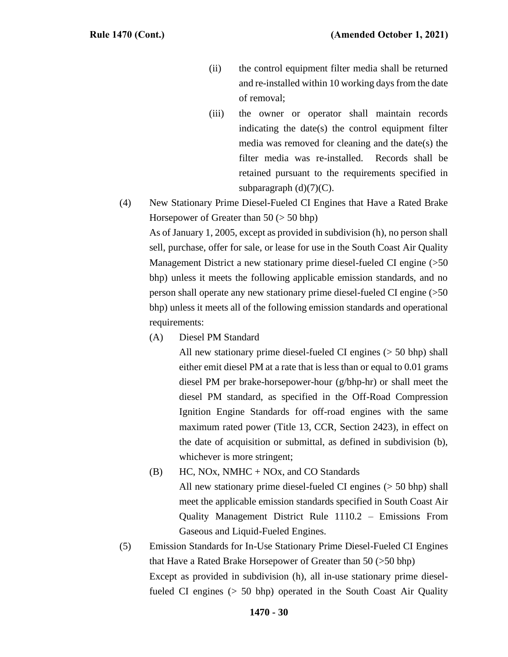- (ii) the control equipment filter media shall be returned and re-installed within 10 working days from the date of removal;
- (iii) the owner or operator shall maintain records indicating the date(s) the control equipment filter media was removed for cleaning and the date(s) the filter media was re-installed. Records shall be retained pursuant to the requirements specified in subparagraph  $(d)(7)(C)$ .
- (4) New Stationary Prime Diesel-Fueled CI Engines that Have a Rated Brake Horsepower of Greater than 50 (> 50 bhp)

As of January 1, 2005, except as provided in subdivision (h), no person shall sell, purchase, offer for sale, or lease for use in the South Coast Air Quality Management District a new stationary prime diesel-fueled CI engine (>50 bhp) unless it meets the following applicable emission standards, and no person shall operate any new stationary prime diesel-fueled CI engine (>50 bhp) unless it meets all of the following emission standards and operational requirements:

(A) Diesel PM Standard

All new stationary prime diesel-fueled CI engines (> 50 bhp) shall either emit diesel PM at a rate that is less than or equal to 0.01 grams diesel PM per brake-horsepower-hour (g/bhp-hr) or shall meet the diesel PM standard, as specified in the Off-Road Compression Ignition Engine Standards for off-road engines with the same maximum rated power (Title 13, CCR, Section 2423), in effect on the date of acquisition or submittal, as defined in subdivision (b), whichever is more stringent;

- $(B)$  HC, NOx, NMHC + NOx, and CO Standards All new stationary prime diesel-fueled CI engines (> 50 bhp) shall meet the applicable emission standards specified in South Coast Air Quality Management District Rule 1110.2 – Emissions From Gaseous and Liquid-Fueled Engines.
- (5) Emission Standards for In-Use Stationary Prime Diesel-Fueled CI Engines that Have a Rated Brake Horsepower of Greater than 50 (>50 bhp) Except as provided in subdivision (h), all in-use stationary prime dieselfueled CI engines (> 50 bhp) operated in the South Coast Air Quality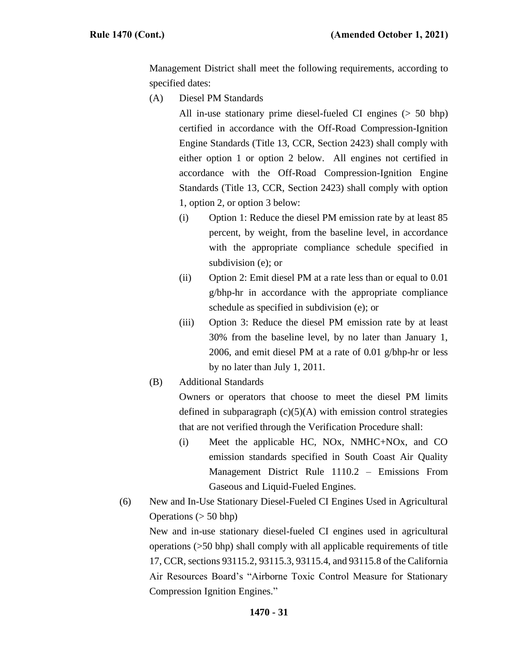Management District shall meet the following requirements, according to specified dates:

(A) Diesel PM Standards

All in-use stationary prime diesel-fueled CI engines (> 50 bhp) certified in accordance with the Off-Road Compression-Ignition Engine Standards (Title 13, CCR, Section 2423) shall comply with either option 1 or option 2 below. All engines not certified in accordance with the Off-Road Compression-Ignition Engine Standards (Title 13, CCR, Section 2423) shall comply with option 1, option 2, or option 3 below:

- (i) Option 1: Reduce the diesel PM emission rate by at least 85 percent, by weight, from the baseline level, in accordance with the appropriate compliance schedule specified in subdivision (e); or
- (ii) Option 2: Emit diesel PM at a rate less than or equal to 0.01 g/bhp-hr in accordance with the appropriate compliance schedule as specified in subdivision (e); or
- (iii) Option 3: Reduce the diesel PM emission rate by at least 30% from the baseline level, by no later than January 1, 2006, and emit diesel PM at a rate of 0.01 g/bhp-hr or less by no later than July 1, 2011.
- (B) Additional Standards

Owners or operators that choose to meet the diesel PM limits defined in subparagraph  $(c)(5)(A)$  with emission control strategies that are not verified through the Verification Procedure shall:

- (i) Meet the applicable HC, NOx, NMHC+NOx, and CO emission standards specified in South Coast Air Quality Management District Rule 1110.2 – Emissions From Gaseous and Liquid-Fueled Engines.
- (6) New and In-Use Stationary Diesel-Fueled CI Engines Used in Agricultural Operations  $(> 50$  bhp)

New and in-use stationary diesel-fueled CI engines used in agricultural operations (>50 bhp) shall comply with all applicable requirements of title 17, CCR, sections 93115.2, 93115.3, 93115.4, and 93115.8 of the California Air Resources Board's "Airborne Toxic Control Measure for Stationary Compression Ignition Engines."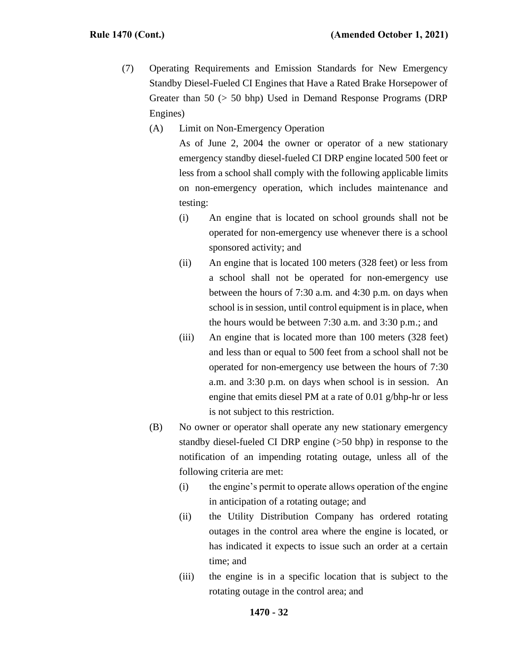- (7) Operating Requirements and Emission Standards for New Emergency Standby Diesel-Fueled CI Engines that Have a Rated Brake Horsepower of Greater than 50 (> 50 bhp) Used in Demand Response Programs (DRP Engines)
	- (A) Limit on Non-Emergency Operation

As of June 2, 2004 the owner or operator of a new stationary emergency standby diesel-fueled CI DRP engine located 500 feet or less from a school shall comply with the following applicable limits on non-emergency operation, which includes maintenance and testing:

- (i) An engine that is located on school grounds shall not be operated for non-emergency use whenever there is a school sponsored activity; and
- (ii) An engine that is located 100 meters (328 feet) or less from a school shall not be operated for non-emergency use between the hours of 7:30 a.m. and 4:30 p.m. on days when school is in session, until control equipment is in place, when the hours would be between 7:30 a.m. and 3:30 p.m.; and
- (iii) An engine that is located more than 100 meters (328 feet) and less than or equal to 500 feet from a school shall not be operated for non-emergency use between the hours of 7:30 a.m. and 3:30 p.m. on days when school is in session. An engine that emits diesel PM at a rate of 0.01 g/bhp-hr or less is not subject to this restriction.
- (B) No owner or operator shall operate any new stationary emergency standby diesel-fueled CI DRP engine (>50 bhp) in response to the notification of an impending rotating outage, unless all of the following criteria are met:
	- (i) the engine's permit to operate allows operation of the engine in anticipation of a rotating outage; and
	- (ii) the Utility Distribution Company has ordered rotating outages in the control area where the engine is located, or has indicated it expects to issue such an order at a certain time; and
	- (iii) the engine is in a specific location that is subject to the rotating outage in the control area; and

# **1470 - 32**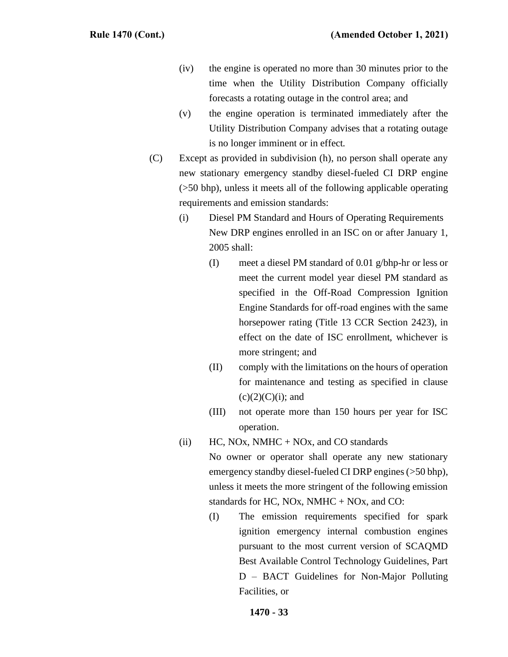- (iv) the engine is operated no more than 30 minutes prior to the time when the Utility Distribution Company officially forecasts a rotating outage in the control area; and
- (v) the engine operation is terminated immediately after the Utility Distribution Company advises that a rotating outage is no longer imminent or in effect.
- (C) Except as provided in subdivision (h), no person shall operate any new stationary emergency standby diesel-fueled CI DRP engine (>50 bhp), unless it meets all of the following applicable operating requirements and emission standards:
	- (i) Diesel PM Standard and Hours of Operating Requirements New DRP engines enrolled in an ISC on or after January 1, 2005 shall:
		- (I) meet a diesel PM standard of 0.01 g/bhp-hr or less or meet the current model year diesel PM standard as specified in the Off-Road Compression Ignition Engine Standards for off-road engines with the same horsepower rating (Title 13 CCR Section 2423), in effect on the date of ISC enrollment, whichever is more stringent; and
		- (II) comply with the limitations on the hours of operation for maintenance and testing as specified in clause  $(c)(2)(C)(i)$ ; and
		- (III) not operate more than 150 hours per year for ISC operation.
	- (ii) HC, NOx, NMHC + NOx, and CO standards

No owner or operator shall operate any new stationary emergency standby diesel-fueled CI DRP engines (>50 bhp), unless it meets the more stringent of the following emission standards for HC, NOx, NMHC + NOx, and CO:

(I) The emission requirements specified for spark ignition emergency internal combustion engines pursuant to the most current version of SCAQMD Best Available Control Technology Guidelines, Part D – BACT Guidelines for Non-Major Polluting Facilities, or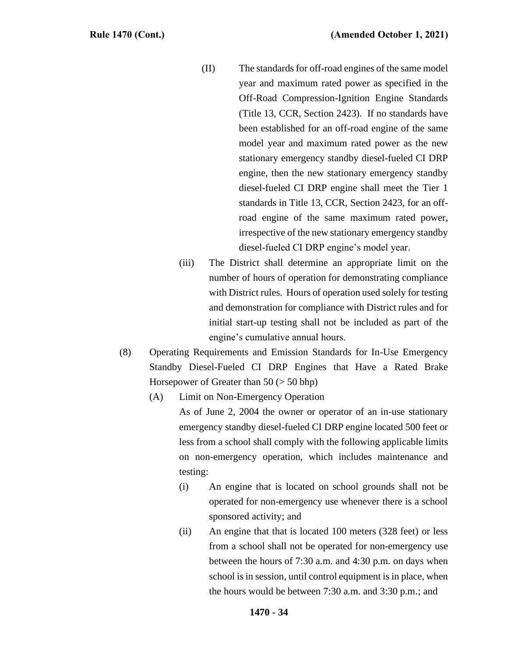- (II) The standards for off-road engines of the same model year and maximum rated power as specified in the Off-Road Compression-Ignition Engine Standards (Title 13, CCR, Section 2423). If no standards have been established for an off-road engine of the same model year and maximum rated power as the new stationary emergency standby diesel-fueled CI DRP engine, then the new stationary emergency standby diesel-fueled CI DRP engine shall meet the Tier 1 standards in Title 13, CCR, Section 2423, for an offroad engine of the same maximum rated power, irrespective of the new stationary emergency standby diesel-fueled CI DRP engine's model year.
- (iii) The District shall determine an appropriate limit on the number of hours of operation for demonstrating compliance with District rules. Hours of operation used solely for testing and demonstration for compliance with District rules and for initial start-up testing shall not be included as part of the engine's cumulative annual hours.
- (8) Operating Requirements and Emission Standards for In-Use Emergency Standby Diesel-Fueled CI DRP Engines that Have a Rated Brake Horsepower of Greater than 50 (> 50 bhp)
	- (A) Limit on Non-Emergency Operation

As of June 2, 2004 the owner or operator of an in-use stationary emergency standby diesel-fueled CI DRP engine located 500 feet or less from a school shall comply with the following applicable limits on non-emergency operation, which includes maintenance and testing:

- (i) An engine that is located on school grounds shall not be operated for non-emergency use whenever there is a school sponsored activity; and
- (ii) An engine that that is located 100 meters (328 feet) or less from a school shall not be operated for non-emergency use between the hours of 7:30 a.m. and 4:30 p.m. on days when school is in session, until control equipment is in place, when the hours would be between 7:30 a.m. and 3:30 p.m.; and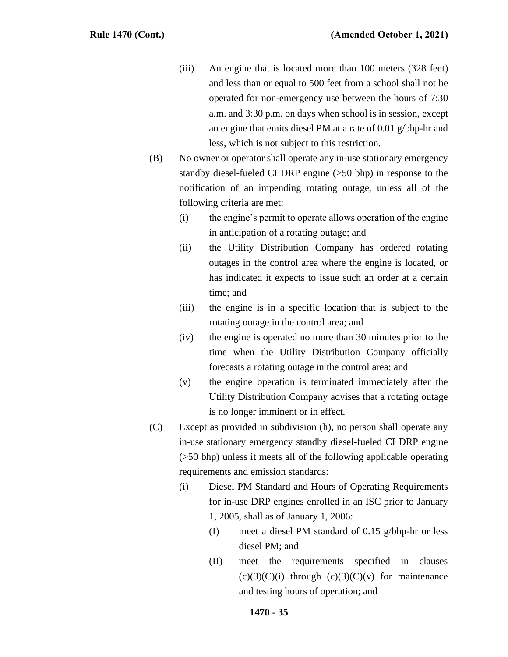- (iii) An engine that is located more than 100 meters (328 feet) and less than or equal to 500 feet from a school shall not be operated for non-emergency use between the hours of 7:30 a.m. and 3:30 p.m. on days when school is in session, except an engine that emits diesel PM at a rate of 0.01 g/bhp-hr and less, which is not subject to this restriction.
- (B) No owner or operator shall operate any in-use stationary emergency standby diesel-fueled CI DRP engine (>50 bhp) in response to the notification of an impending rotating outage, unless all of the following criteria are met:
	- (i) the engine's permit to operate allows operation of the engine in anticipation of a rotating outage; and
	- (ii) the Utility Distribution Company has ordered rotating outages in the control area where the engine is located, or has indicated it expects to issue such an order at a certain time; and
	- (iii) the engine is in a specific location that is subject to the rotating outage in the control area; and
	- (iv) the engine is operated no more than 30 minutes prior to the time when the Utility Distribution Company officially forecasts a rotating outage in the control area; and
	- (v) the engine operation is terminated immediately after the Utility Distribution Company advises that a rotating outage is no longer imminent or in effect.
- (C) Except as provided in subdivision (h), no person shall operate any in-use stationary emergency standby diesel-fueled CI DRP engine (>50 bhp) unless it meets all of the following applicable operating requirements and emission standards:
	- (i) Diesel PM Standard and Hours of Operating Requirements for in-use DRP engines enrolled in an ISC prior to January 1, 2005, shall as of January 1, 2006:
		- (I) meet a diesel PM standard of 0.15 g/bhp-hr or less diesel PM; and
		- (II) meet the requirements specified in clauses  $(c)(3)(C)(i)$  through  $(c)(3)(C)(v)$  for maintenance and testing hours of operation; and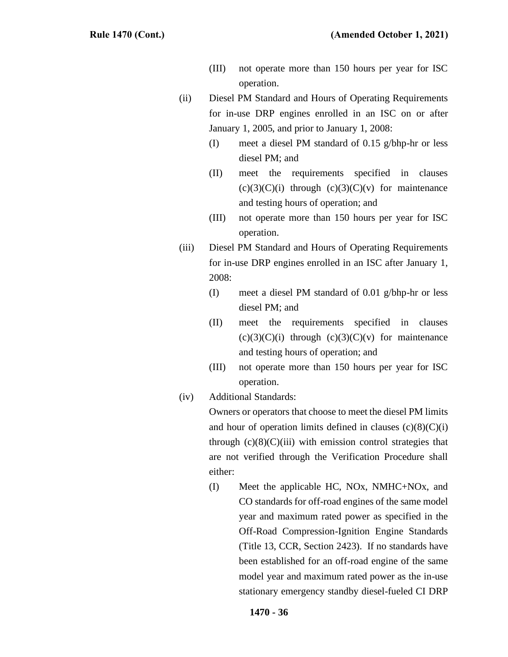- (III) not operate more than 150 hours per year for ISC operation.
- (ii) Diesel PM Standard and Hours of Operating Requirements for in-use DRP engines enrolled in an ISC on or after January 1, 2005, and prior to January 1, 2008:
	- (I) meet a diesel PM standard of 0.15 g/bhp-hr or less diesel PM; and
	- (II) meet the requirements specified in clauses  $(c)(3)(C)(i)$  through  $(c)(3)(C)(v)$  for maintenance and testing hours of operation; and
	- (III) not operate more than 150 hours per year for ISC operation.
- (iii) Diesel PM Standard and Hours of Operating Requirements for in-use DRP engines enrolled in an ISC after January 1, 2008:
	- (I) meet a diesel PM standard of 0.01 g/bhp-hr or less diesel PM; and
	- (II) meet the requirements specified in clauses  $(c)(3)(C)(i)$  through  $(c)(3)(C)(v)$  for maintenance and testing hours of operation; and
	- (III) not operate more than 150 hours per year for ISC operation.
- (iv) Additional Standards:

Owners or operators that choose to meet the diesel PM limits and hour of operation limits defined in clauses  $(c)(8)(C)(i)$ through  $(c)(8)(C)(iii)$  with emission control strategies that are not verified through the Verification Procedure shall either:

(I) Meet the applicable HC, NOx, NMHC+NOx, and CO standards for off-road engines of the same model year and maximum rated power as specified in the Off-Road Compression-Ignition Engine Standards (Title 13, CCR, Section 2423). If no standards have been established for an off-road engine of the same model year and maximum rated power as the in-use stationary emergency standby diesel-fueled CI DRP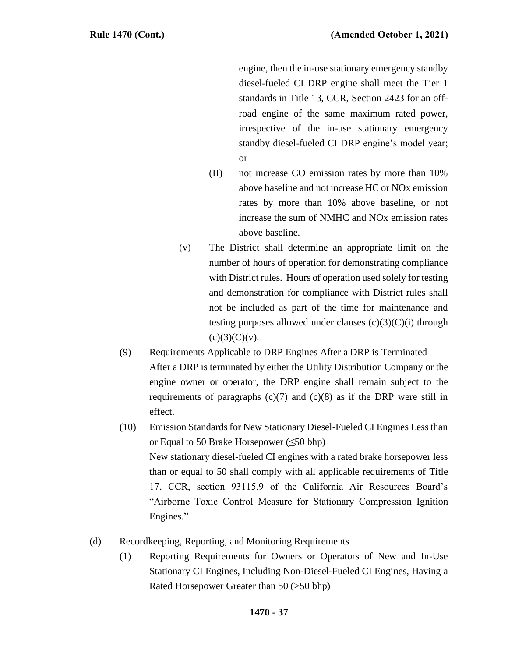engine, then the in-use stationary emergency standby diesel-fueled CI DRP engine shall meet the Tier 1 standards in Title 13, CCR, Section 2423 for an offroad engine of the same maximum rated power, irrespective of the in-use stationary emergency standby diesel-fueled CI DRP engine's model year; or

- (II) not increase CO emission rates by more than 10% above baseline and not increase HC or NOx emission rates by more than 10% above baseline, or not increase the sum of NMHC and NOx emission rates above baseline.
- (v) The District shall determine an appropriate limit on the number of hours of operation for demonstrating compliance with District rules. Hours of operation used solely for testing and demonstration for compliance with District rules shall not be included as part of the time for maintenance and testing purposes allowed under clauses  $(c)(3)(C)(i)$  through  $(c)(3)(C)(v).$
- (9) Requirements Applicable to DRP Engines After a DRP is Terminated After a DRP is terminated by either the Utility Distribution Company or the engine owner or operator, the DRP engine shall remain subject to the requirements of paragraphs  $(c)(7)$  and  $(c)(8)$  as if the DRP were still in effect.
- (10) Emission Standards for New Stationary Diesel-Fueled CI Engines Less than or Equal to 50 Brake Horsepower ( $\leq 50$  bhp) New stationary diesel-fueled CI engines with a rated brake horsepower less than or equal to 50 shall comply with all applicable requirements of Title 17, CCR, section 93115.9 of the California Air Resources Board's "Airborne Toxic Control Measure for Stationary Compression Ignition Engines."
- (d) Recordkeeping, Reporting, and Monitoring Requirements
	- (1) Reporting Requirements for Owners or Operators of New and In-Use Stationary CI Engines, Including Non-Diesel-Fueled CI Engines, Having a Rated Horsepower Greater than 50 (>50 bhp)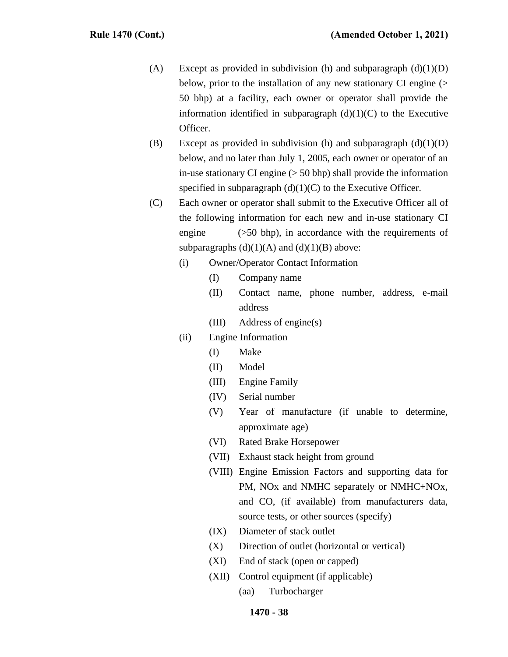- (A) Except as provided in subdivision (h) and subparagraph  $(d)(1)(D)$ below, prior to the installation of any new stationary CI engine (> 50 bhp) at a facility, each owner or operator shall provide the information identified in subparagraph  $(d)(1)(C)$  to the Executive Officer.
- (B) Except as provided in subdivision (h) and subparagraph  $(d)(1)(D)$ below, and no later than July 1, 2005, each owner or operator of an in-use stationary CI engine  $($  > 50 bhp) shall provide the information specified in subparagraph  $(d)(1)(C)$  to the Executive Officer.
- (C) Each owner or operator shall submit to the Executive Officer all of the following information for each new and in-use stationary CI engine (>50 bhp), in accordance with the requirements of subparagraphs  $(d)(1)(A)$  and  $(d)(1)(B)$  above:
	- (i) Owner/Operator Contact Information
		- (I) Company name
		- (II) Contact name, phone number, address, e-mail address
		- (III) Address of engine(s)
	- (ii) Engine Information
		- (I) Make
		- (II) Model
		- (III) Engine Family
		- (IV) Serial number
		- (V) Year of manufacture (if unable to determine, approximate age)
		- (VI) Rated Brake Horsepower
		- (VII) Exhaust stack height from ground
		- (VIII) Engine Emission Factors and supporting data for PM, NOx and NMHC separately or NMHC+NOx, and CO, (if available) from manufacturers data, source tests, or other sources (specify)
		- (IX) Diameter of stack outlet
		- (X) Direction of outlet (horizontal or vertical)
		- (XI) End of stack (open or capped)
		- (XII) Control equipment (if applicable)
			- (aa) Turbocharger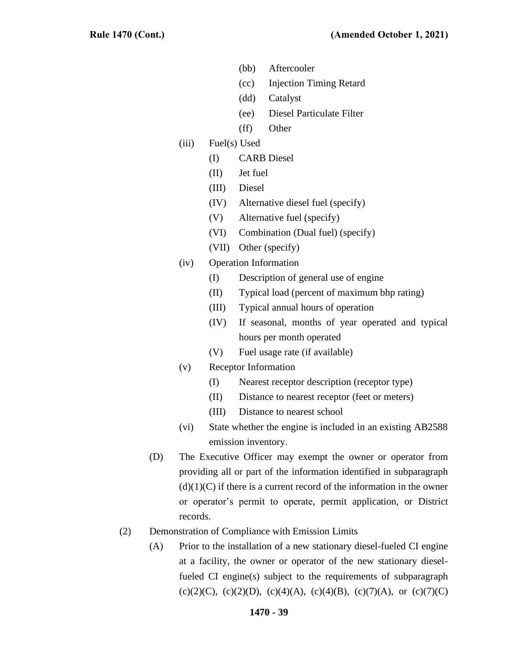- (bb) Aftercooler
- (cc) Injection Timing Retard
- (dd) Catalyst
- (ee) Diesel Particulate Filter
- (ff) Other
- (iii) Fuel(s) Used
	- (I) CARB Diesel
	- (II) Jet fuel
	- (III) Diesel
	- (IV) Alternative diesel fuel (specify)
	- (V) Alternative fuel (specify)
	- (VI) Combination (Dual fuel) (specify)
	- (VII) Other (specify)
- (iv) Operation Information
	- (I) Description of general use of engine
	- (II) Typical load (percent of maximum bhp rating)
	- (III) Typical annual hours of operation
	- (IV) If seasonal, months of year operated and typical hours per month operated
	- (V) Fuel usage rate (if available)
- (v) Receptor Information
	- (I) Nearest receptor description (receptor type)
	- (II) Distance to nearest receptor (feet or meters)
	- (III) Distance to nearest school
- (vi) State whether the engine is included in an existing AB2588 emission inventory.
- (D) The Executive Officer may exempt the owner or operator from providing all or part of the information identified in subparagraph  $(d)(1)(C)$  if there is a current record of the information in the owner or operator's permit to operate, permit application, or District records.
- (2) Demonstration of Compliance with Emission Limits
	- (A) Prior to the installation of a new stationary diesel-fueled CI engine at a facility, the owner or operator of the new stationary dieselfueled CI engine(s) subject to the requirements of subparagraph (c)(2)(C), (c)(2)(D), (c)(4)(A), (c)(4)(B), (c)(7)(A), or (c)(7)(C)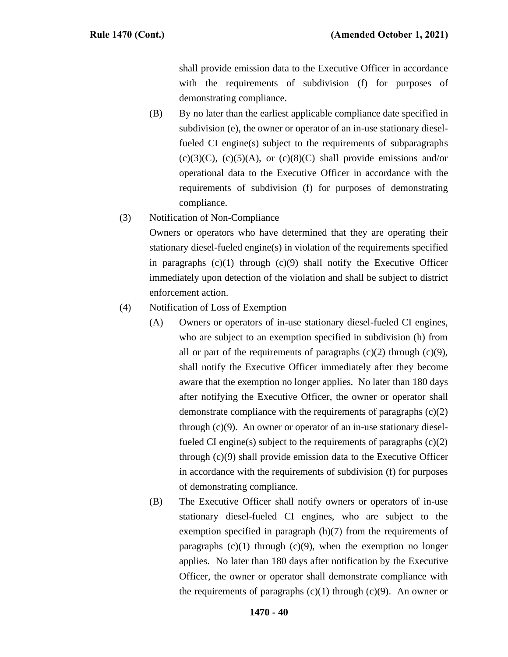shall provide emission data to the Executive Officer in accordance with the requirements of subdivision (f) for purposes of demonstrating compliance.

(B) By no later than the earliest applicable compliance date specified in subdivision (e), the owner or operator of an in-use stationary dieselfueled CI engine(s) subject to the requirements of subparagraphs  $(c)(3)(C)$ ,  $(c)(5)(A)$ , or  $(c)(8)(C)$  shall provide emissions and/or operational data to the Executive Officer in accordance with the requirements of subdivision (f) for purposes of demonstrating compliance.

(3) Notification of Non-Compliance

Owners or operators who have determined that they are operating their stationary diesel-fueled engine(s) in violation of the requirements specified in paragraphs  $(c)(1)$  through  $(c)(9)$  shall notify the Executive Officer immediately upon detection of the violation and shall be subject to district enforcement action.

- (4) Notification of Loss of Exemption
	- (A) Owners or operators of in-use stationary diesel-fueled CI engines, who are subject to an exemption specified in subdivision (h) from all or part of the requirements of paragraphs  $(c)(2)$  through  $(c)(9)$ , shall notify the Executive Officer immediately after they become aware that the exemption no longer applies. No later than 180 days after notifying the Executive Officer, the owner or operator shall demonstrate compliance with the requirements of paragraphs  $(c)(2)$ through (c)(9). An owner or operator of an in-use stationary dieselfueled CI engine(s) subject to the requirements of paragraphs  $(c)(2)$ through (c)(9) shall provide emission data to the Executive Officer in accordance with the requirements of subdivision (f) for purposes of demonstrating compliance.
	- (B) The Executive Officer shall notify owners or operators of in-use stationary diesel-fueled CI engines, who are subject to the exemption specified in paragraph (h)(7) from the requirements of paragraphs  $(c)(1)$  through  $(c)(9)$ , when the exemption no longer applies. No later than 180 days after notification by the Executive Officer, the owner or operator shall demonstrate compliance with the requirements of paragraphs  $(c)(1)$  through  $(c)(9)$ . An owner or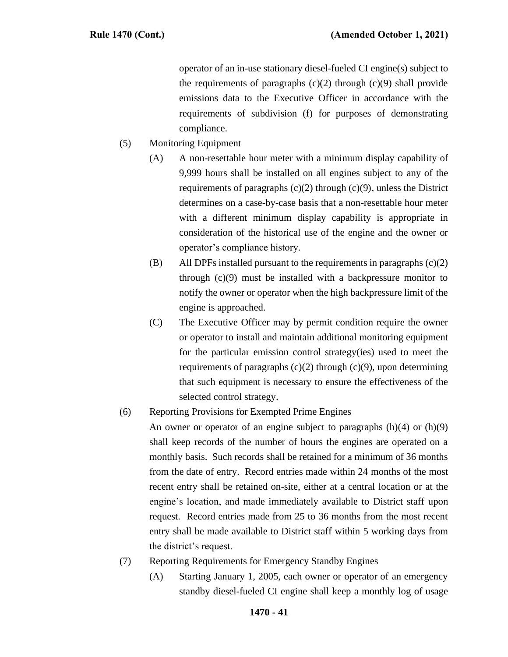operator of an in-use stationary diesel-fueled CI engine(s) subject to the requirements of paragraphs  $(c)(2)$  through  $(c)(9)$  shall provide emissions data to the Executive Officer in accordance with the requirements of subdivision (f) for purposes of demonstrating compliance.

- (5) Monitoring Equipment
	- (A) A non-resettable hour meter with a minimum display capability of 9,999 hours shall be installed on all engines subject to any of the requirements of paragraphs (c)(2) through (c)(9), unless the District determines on a case-by-case basis that a non-resettable hour meter with a different minimum display capability is appropriate in consideration of the historical use of the engine and the owner or operator's compliance history.
	- (B) All DPFs installed pursuant to the requirements in paragraphs (c)(2) through (c)(9) must be installed with a backpressure monitor to notify the owner or operator when the high backpressure limit of the engine is approached.
	- (C) The Executive Officer may by permit condition require the owner or operator to install and maintain additional monitoring equipment for the particular emission control strategy(ies) used to meet the requirements of paragraphs  $(c)(2)$  through  $(c)(9)$ , upon determining that such equipment is necessary to ensure the effectiveness of the selected control strategy.

# (6) Reporting Provisions for Exempted Prime Engines

An owner or operator of an engine subject to paragraphs  $(h)(4)$  or  $(h)(9)$ shall keep records of the number of hours the engines are operated on a monthly basis. Such records shall be retained for a minimum of 36 months from the date of entry. Record entries made within 24 months of the most recent entry shall be retained on-site, either at a central location or at the engine's location, and made immediately available to District staff upon request. Record entries made from 25 to 36 months from the most recent entry shall be made available to District staff within 5 working days from the district's request.

- (7) Reporting Requirements for Emergency Standby Engines
	- (A) Starting January 1, 2005, each owner or operator of an emergency standby diesel-fueled CI engine shall keep a monthly log of usage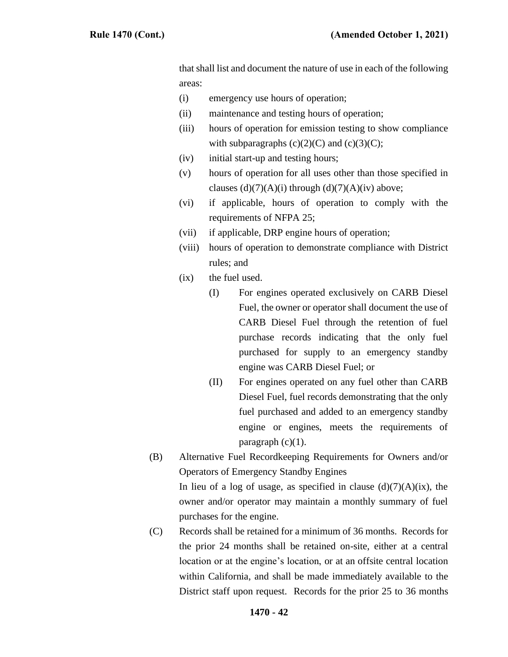that shall list and document the nature of use in each of the following areas:

- (i) emergency use hours of operation;
- (ii) maintenance and testing hours of operation;
- (iii) hours of operation for emission testing to show compliance with subparagraphs  $(c)(2)(C)$  and  $(c)(3)(C)$ ;
- (iv) initial start-up and testing hours;
- (v) hours of operation for all uses other than those specified in clauses  $(d)(7)(A)(i)$  through  $(d)(7)(A)(iv)$  above;
- (vi) if applicable, hours of operation to comply with the requirements of NFPA 25;
- (vii) if applicable, DRP engine hours of operation;
- (viii) hours of operation to demonstrate compliance with District rules; and
- (ix) the fuel used.
	- (I) For engines operated exclusively on CARB Diesel Fuel, the owner or operator shall document the use of CARB Diesel Fuel through the retention of fuel purchase records indicating that the only fuel purchased for supply to an emergency standby engine was CARB Diesel Fuel; or
	- (II) For engines operated on any fuel other than CARB Diesel Fuel, fuel records demonstrating that the only fuel purchased and added to an emergency standby engine or engines, meets the requirements of paragraph  $(c)(1)$ .
- (B) Alternative Fuel Recordkeeping Requirements for Owners and/or Operators of Emergency Standby Engines

In lieu of a log of usage, as specified in clause  $(d)(7)(A)(ix)$ , the owner and/or operator may maintain a monthly summary of fuel purchases for the engine.

(C) Records shall be retained for a minimum of 36 months. Records for the prior 24 months shall be retained on-site, either at a central location or at the engine's location, or at an offsite central location within California, and shall be made immediately available to the District staff upon request. Records for the prior 25 to 36 months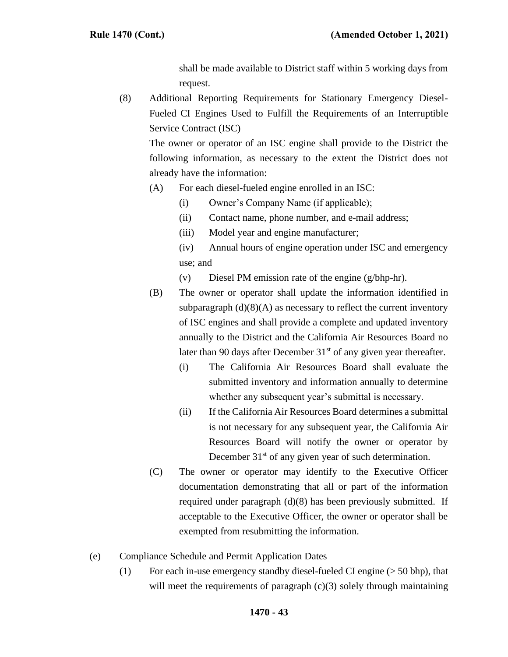shall be made available to District staff within 5 working days from request.

(8) Additional Reporting Requirements for Stationary Emergency Diesel-Fueled CI Engines Used to Fulfill the Requirements of an Interruptible Service Contract (ISC)

The owner or operator of an ISC engine shall provide to the District the following information, as necessary to the extent the District does not already have the information:

- (A) For each diesel-fueled engine enrolled in an ISC:
	- (i) Owner's Company Name (if applicable);
	- (ii) Contact name, phone number, and e-mail address;
	- (iii) Model year and engine manufacturer;
	- (iv) Annual hours of engine operation under ISC and emergency use; and
	- (v) Diesel PM emission rate of the engine (g/bhp-hr).
- (B) The owner or operator shall update the information identified in subparagraph  $(d)(8)(A)$  as necessary to reflect the current inventory of ISC engines and shall provide a complete and updated inventory annually to the District and the California Air Resources Board no later than 90 days after December  $31<sup>st</sup>$  of any given year thereafter.
	- (i) The California Air Resources Board shall evaluate the submitted inventory and information annually to determine whether any subsequent year's submittal is necessary.
	- (ii) If the California Air Resources Board determines a submittal is not necessary for any subsequent year, the California Air Resources Board will notify the owner or operator by December  $31<sup>st</sup>$  of any given year of such determination.
- (C) The owner or operator may identify to the Executive Officer documentation demonstrating that all or part of the information required under paragraph (d)(8) has been previously submitted. If acceptable to the Executive Officer, the owner or operator shall be exempted from resubmitting the information.
- (e) Compliance Schedule and Permit Application Dates
	- (1) For each in-use emergency standby diesel-fueled CI engine  $(> 50$  bhp), that will meet the requirements of paragraph  $(c)(3)$  solely through maintaining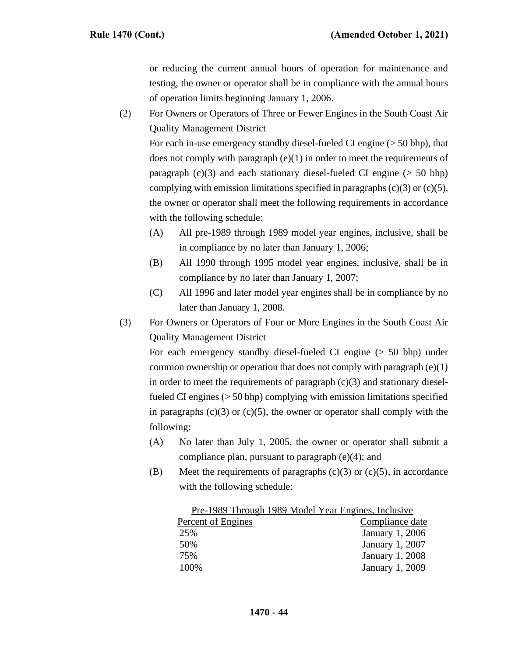or reducing the current annual hours of operation for maintenance and testing, the owner or operator shall be in compliance with the annual hours of operation limits beginning January 1, 2006.

(2) For Owners or Operators of Three or Fewer Engines in the South Coast Air Quality Management District

For each in-use emergency standby diesel-fueled CI engine  $(> 50$  bhp), that does not comply with paragraph  $(e)(1)$  in order to meet the requirements of paragraph  $(c)(3)$  and each stationary diesel-fueled CI engine ( $> 50$  bhp) complying with emission limitations specified in paragraphs  $(c)(3)$  or  $(c)(5)$ , the owner or operator shall meet the following requirements in accordance with the following schedule:

- (A) All pre-1989 through 1989 model year engines, inclusive, shall be in compliance by no later than January 1, 2006;
- (B) All 1990 through 1995 model year engines, inclusive, shall be in compliance by no later than January 1, 2007;
- (C) All 1996 and later model year engines shall be in compliance by no later than January 1, 2008.
- (3) For Owners or Operators of Four or More Engines in the South Coast Air Quality Management District

For each emergency standby diesel-fueled CI engine (> 50 bhp) under common ownership or operation that does not comply with paragraph (e)(1) in order to meet the requirements of paragraph  $(c)(3)$  and stationary dieselfueled CI engines (> 50 bhp) complying with emission limitations specified in paragraphs  $(c)(3)$  or  $(c)(5)$ , the owner or operator shall comply with the following:

- (A) No later than July 1, 2005, the owner or operator shall submit a compliance plan, pursuant to paragraph (e)(4); and
- (B) Meet the requirements of paragraphs  $(c)(3)$  or  $(c)(5)$ , in accordance with the following schedule:

| Pre-1989 Through 1989 Model Year Engines, Inclusive |  |
|-----------------------------------------------------|--|
| Compliance date                                     |  |
| January 1, 2006                                     |  |
| January 1, 2007                                     |  |
| <b>January 1, 2008</b>                              |  |
| January 1, 2009                                     |  |
|                                                     |  |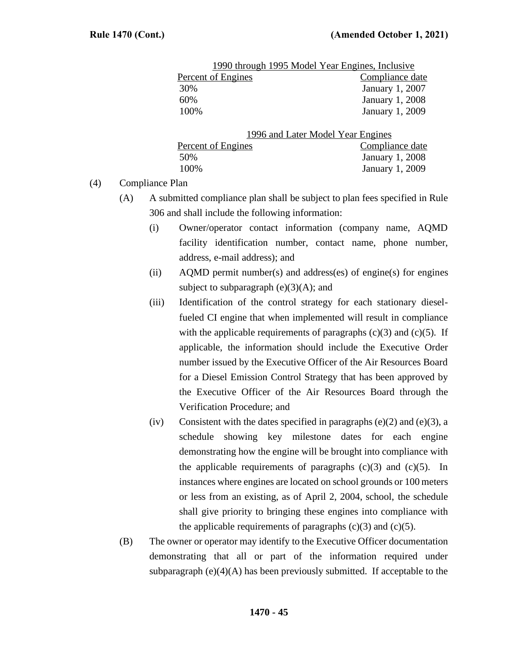|                                   | 1990 through 1995 Model Year Engines, Inclusive |
|-----------------------------------|-------------------------------------------------|
| Percent of Engines                | Compliance date                                 |
| 30%                               | January 1, 2007                                 |
| 60%                               | January 1, 2008                                 |
| 100%                              | January 1, 2009                                 |
| 1006 and Later Model Vear Engines |                                                 |

|                    | 1996 and Later Model Year Engines |
|--------------------|-----------------------------------|
| Percent of Engines | Compliance date                   |
| 50%                | January 1, 2008                   |
| 100%               | January 1, 2009                   |
|                    |                                   |

(4) Compliance Plan

- (A) A submitted compliance plan shall be subject to plan fees specified in Rule 306 and shall include the following information:
	- (i) Owner/operator contact information (company name, AQMD facility identification number, contact name, phone number, address, e-mail address); and
	- (ii) AQMD permit number(s) and address(es) of engine(s) for engines subject to subparagraph  $(e)(3)(A)$ ; and
	- (iii) Identification of the control strategy for each stationary dieselfueled CI engine that when implemented will result in compliance with the applicable requirements of paragraphs  $(c)(3)$  and  $(c)(5)$ . If applicable, the information should include the Executive Order number issued by the Executive Officer of the Air Resources Board for a Diesel Emission Control Strategy that has been approved by the Executive Officer of the Air Resources Board through the Verification Procedure; and
	- (iv) Consistent with the dates specified in paragraphs  $(e)(2)$  and  $(e)(3)$ , a schedule showing key milestone dates for each engine demonstrating how the engine will be brought into compliance with the applicable requirements of paragraphs  $(c)(3)$  and  $(c)(5)$ . In instances where engines are located on school grounds or 100 meters or less from an existing, as of April 2, 2004, school, the schedule shall give priority to bringing these engines into compliance with the applicable requirements of paragraphs  $(c)(3)$  and  $(c)(5)$ .
- (B) The owner or operator may identify to the Executive Officer documentation demonstrating that all or part of the information required under subparagraph  $(e)(4)(A)$  has been previously submitted. If acceptable to the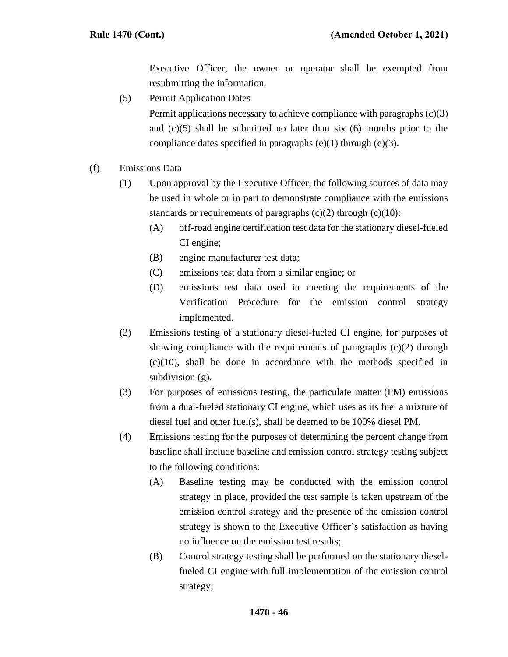Executive Officer, the owner or operator shall be exempted from resubmitting the information.

(5) Permit Application Dates

Permit applications necessary to achieve compliance with paragraphs (c)(3) and  $(c)(5)$  shall be submitted no later than six  $(6)$  months prior to the compliance dates specified in paragraphs  $(e)(1)$  through  $(e)(3)$ .

- (f) Emissions Data
	- (1) Upon approval by the Executive Officer, the following sources of data may be used in whole or in part to demonstrate compliance with the emissions standards or requirements of paragraphs  $(c)(2)$  through  $(c)(10)$ :
		- (A) off-road engine certification test data for the stationary diesel-fueled CI engine;
		- (B) engine manufacturer test data;
		- (C) emissions test data from a similar engine; or
		- (D) emissions test data used in meeting the requirements of the Verification Procedure for the emission control strategy implemented.
	- (2) Emissions testing of a stationary diesel-fueled CI engine, for purposes of showing compliance with the requirements of paragraphs  $(c)(2)$  through (c)(10), shall be done in accordance with the methods specified in subdivision  $(g)$ .
	- (3) For purposes of emissions testing, the particulate matter (PM) emissions from a dual-fueled stationary CI engine, which uses as its fuel a mixture of diesel fuel and other fuel(s), shall be deemed to be 100% diesel PM.
	- (4) Emissions testing for the purposes of determining the percent change from baseline shall include baseline and emission control strategy testing subject to the following conditions:
		- (A) Baseline testing may be conducted with the emission control strategy in place, provided the test sample is taken upstream of the emission control strategy and the presence of the emission control strategy is shown to the Executive Officer's satisfaction as having no influence on the emission test results;
		- (B) Control strategy testing shall be performed on the stationary dieselfueled CI engine with full implementation of the emission control strategy;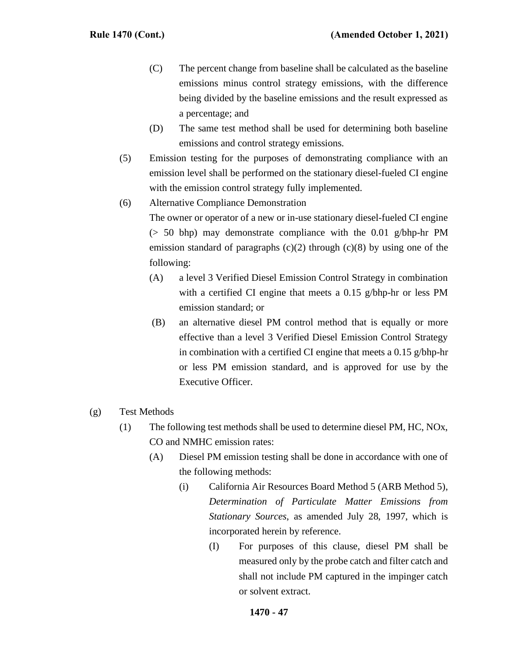- (C) The percent change from baseline shall be calculated as the baseline emissions minus control strategy emissions, with the difference being divided by the baseline emissions and the result expressed as a percentage; and
- (D) The same test method shall be used for determining both baseline emissions and control strategy emissions.
- (5) Emission testing for the purposes of demonstrating compliance with an emission level shall be performed on the stationary diesel-fueled CI engine with the emission control strategy fully implemented.
- (6) Alternative Compliance Demonstration

The owner or operator of a new or in-use stationary diesel-fueled CI engine (> 50 bhp) may demonstrate compliance with the 0.01 g/bhp-hr PM emission standard of paragraphs  $(c)(2)$  through  $(c)(8)$  by using one of the following:

- (A) a level 3 Verified Diesel Emission Control Strategy in combination with a certified CI engine that meets a 0.15 g/bhp-hr or less PM emission standard; or
- (B) an alternative diesel PM control method that is equally or more effective than a level 3 Verified Diesel Emission Control Strategy in combination with a certified CI engine that meets a 0.15 g/bhp-hr or less PM emission standard, and is approved for use by the Executive Officer.
- (g) Test Methods
	- (1) The following test methods shall be used to determine diesel PM, HC, NOx, CO and NMHC emission rates:
		- (A) Diesel PM emission testing shall be done in accordance with one of the following methods:
			- (i) California Air Resources Board Method 5 (ARB Method 5), *Determination of Particulate Matter Emissions from Stationary Sources*, as amended July 28, 1997, which is incorporated herein by reference.
				- (I) For purposes of this clause, diesel PM shall be measured only by the probe catch and filter catch and shall not include PM captured in the impinger catch or solvent extract.

### **1470 - 47**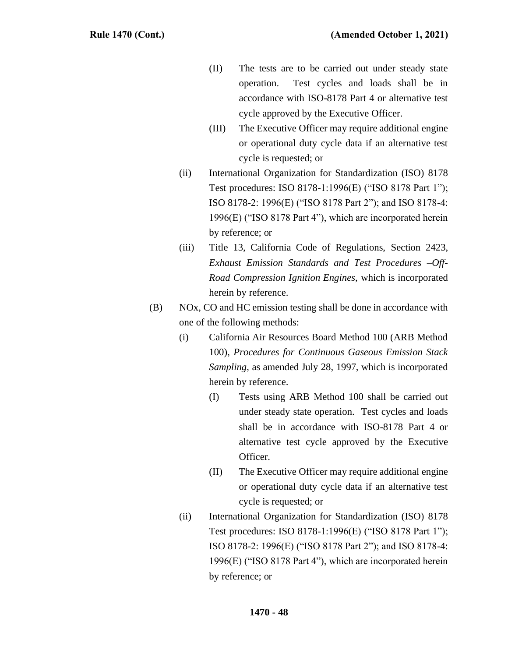- (II) The tests are to be carried out under steady state operation. Test cycles and loads shall be in accordance with ISO-8178 Part 4 or alternative test cycle approved by the Executive Officer.
- (III) The Executive Officer may require additional engine or operational duty cycle data if an alternative test cycle is requested; or
- (ii) International Organization for Standardization (ISO) 8178 Test procedures: ISO 8178-1:1996(E) ("ISO 8178 Part 1"); ISO 8178-2: 1996(E) ("ISO 8178 Part 2"); and ISO 8178-4: 1996(E) ("ISO 8178 Part 4"), which are incorporated herein by reference; or
- (iii) Title 13, California Code of Regulations, Section 2423, *Exhaust Emission Standards and Test Procedures –Off-Road Compression Ignition Engines*, which is incorporated herein by reference.
- (B) NOx, CO and HC emission testing shall be done in accordance with one of the following methods:
	- (i) California Air Resources Board Method 100 (ARB Method 100), *Procedures for Continuous Gaseous Emission Stack Sampling*, as amended July 28, 1997, which is incorporated herein by reference.
		- (I) Tests using ARB Method 100 shall be carried out under steady state operation. Test cycles and loads shall be in accordance with ISO-8178 Part 4 or alternative test cycle approved by the Executive Officer.
		- (II) The Executive Officer may require additional engine or operational duty cycle data if an alternative test cycle is requested; or
	- (ii) International Organization for Standardization (ISO) 8178 Test procedures: ISO 8178-1:1996(E) ("ISO 8178 Part 1"); ISO 8178-2: 1996(E) ("ISO 8178 Part 2"); and ISO 8178-4: 1996(E) ("ISO 8178 Part 4"), which are incorporated herein by reference; or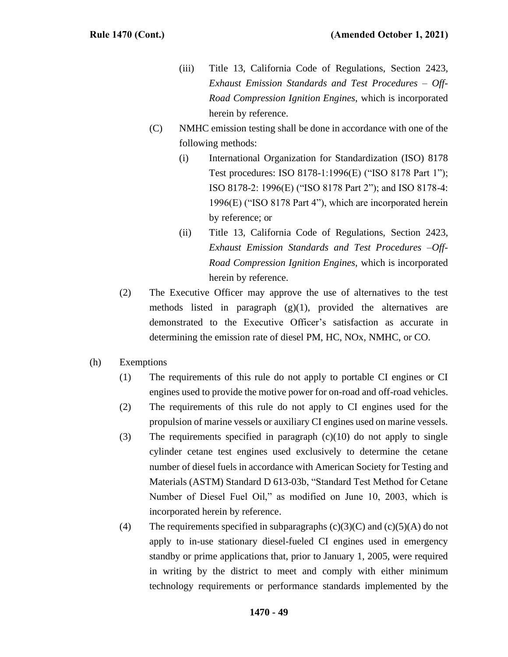- (iii) Title 13, California Code of Regulations, Section 2423*, Exhaust Emission Standards and Test Procedures – Off-Road Compression Ignition Engines*, which is incorporated herein by reference.
- (C) NMHC emission testing shall be done in accordance with one of the following methods:
	- (i) International Organization for Standardization (ISO) 8178 Test procedures: ISO 8178-1:1996(E) ("ISO 8178 Part 1"); ISO 8178-2: 1996(E) ("ISO 8178 Part 2"); and ISO 8178-4: 1996(E) ("ISO 8178 Part 4"), which are incorporated herein by reference; or
	- (ii) Title 13, California Code of Regulations, Section 2423*, Exhaust Emission Standards and Test Procedures –Off-Road Compression Ignition Engines*, which is incorporated herein by reference.
- (2) The Executive Officer may approve the use of alternatives to the test methods listed in paragraph  $(g)(1)$ , provided the alternatives are demonstrated to the Executive Officer's satisfaction as accurate in determining the emission rate of diesel PM, HC, NOx, NMHC, or CO.
- (h) Exemptions
	- (1) The requirements of this rule do not apply to portable CI engines or CI engines used to provide the motive power for on-road and off-road vehicles.
	- (2) The requirements of this rule do not apply to CI engines used for the propulsion of marine vessels or auxiliary CI engines used on marine vessels.
	- (3) The requirements specified in paragraph (c)(10) do not apply to single cylinder cetane test engines used exclusively to determine the cetane number of diesel fuels in accordance with American Society for Testing and Materials (ASTM) Standard D 613-03b, "Standard Test Method for Cetane Number of Diesel Fuel Oil," as modified on June 10, 2003, which is incorporated herein by reference.
	- (4) The requirements specified in subparagraphs  $(c)(3)(C)$  and  $(c)(5)(A)$  do not apply to in-use stationary diesel-fueled CI engines used in emergency standby or prime applications that, prior to January 1, 2005, were required in writing by the district to meet and comply with either minimum technology requirements or performance standards implemented by the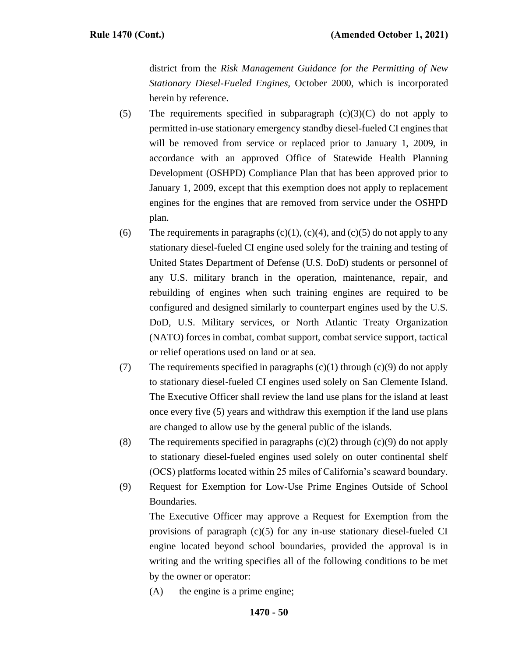district from the *Risk Management Guidance for the Permitting of New Stationary Diesel-Fueled Engines,* October 2000*,* which is incorporated herein by reference.

- (5) The requirements specified in subparagraph  $(c)(3)(C)$  do not apply to permitted in-use stationary emergency standby diesel-fueled CI engines that will be removed from service or replaced prior to January 1, 2009, in accordance with an approved Office of Statewide Health Planning Development (OSHPD) Compliance Plan that has been approved prior to January 1, 2009, except that this exemption does not apply to replacement engines for the engines that are removed from service under the OSHPD plan.
- (6) The requirements in paragraphs  $(c)(1)$ ,  $(c)(4)$ , and  $(c)(5)$  do not apply to any stationary diesel-fueled CI engine used solely for the training and testing of United States Department of Defense (U.S. DoD) students or personnel of any U.S. military branch in the operation, maintenance, repair, and rebuilding of engines when such training engines are required to be configured and designed similarly to counterpart engines used by the U.S. DoD, U.S. Military services, or North Atlantic Treaty Organization (NATO) forces in combat, combat support, combat service support, tactical or relief operations used on land or at sea.
- (7) The requirements specified in paragraphs  $(c)(1)$  through  $(c)(9)$  do not apply to stationary diesel-fueled CI engines used solely on San Clemente Island. The Executive Officer shall review the land use plans for the island at least once every five (5) years and withdraw this exemption if the land use plans are changed to allow use by the general public of the islands.
- (8) The requirements specified in paragraphs  $(c)(2)$  through  $(c)(9)$  do not apply to stationary diesel-fueled engines used solely on outer continental shelf (OCS) platforms located within 25 miles of California's seaward boundary.
- (9) Request for Exemption for Low-Use Prime Engines Outside of School Boundaries.

The Executive Officer may approve a Request for Exemption from the provisions of paragraph  $(c)(5)$  for any in-use stationary diesel-fueled CI engine located beyond school boundaries, provided the approval is in writing and the writing specifies all of the following conditions to be met by the owner or operator:

(A) the engine is a prime engine;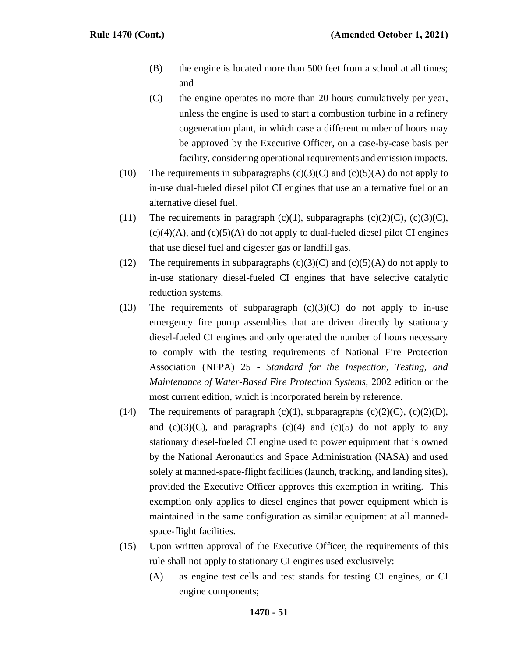- (B) the engine is located more than 500 feet from a school at all times; and
- (C) the engine operates no more than 20 hours cumulatively per year, unless the engine is used to start a combustion turbine in a refinery cogeneration plant, in which case a different number of hours may be approved by the Executive Officer, on a case-by-case basis per facility, considering operational requirements and emission impacts.
- (10) The requirements in subparagraphs  $(c)(3)(C)$  and  $(c)(5)(A)$  do not apply to in-use dual-fueled diesel pilot CI engines that use an alternative fuel or an alternative diesel fuel.
- (11) The requirements in paragraph (c)(1), subparagraphs (c)(2)(C), (c)(3)(C),  $(c)(4)(A)$ , and  $(c)(5)(A)$  do not apply to dual-fueled diesel pilot CI engines that use diesel fuel and digester gas or landfill gas.
- (12) The requirements in subparagraphs  $(c)(3)(C)$  and  $(c)(5)(A)$  do not apply to in-use stationary diesel-fueled CI engines that have selective catalytic reduction systems.
- (13) The requirements of subparagraph  $(c)(3)(C)$  do not apply to in-use emergency fire pump assemblies that are driven directly by stationary diesel-fueled CI engines and only operated the number of hours necessary to comply with the testing requirements of National Fire Protection Association (NFPA) 25 *- Standard for the Inspection, Testing, and Maintenance of Water-Based Fire Protection Systems,* 2002 edition or the most current edition, which is incorporated herein by reference.
- (14) The requirements of paragraph (c)(1), subparagraphs (c)(2)(C), (c)(2)(D), and  $(c)(3)(C)$ , and paragraphs  $(c)(4)$  and  $(c)(5)$  do not apply to any stationary diesel-fueled CI engine used to power equipment that is owned by the National Aeronautics and Space Administration (NASA) and used solely at manned-space-flight facilities (launch, tracking, and landing sites), provided the Executive Officer approves this exemption in writing. This exemption only applies to diesel engines that power equipment which is maintained in the same configuration as similar equipment at all mannedspace-flight facilities.
- (15) Upon written approval of the Executive Officer, the requirements of this rule shall not apply to stationary CI engines used exclusively:
	- (A) as engine test cells and test stands for testing CI engines, or CI engine components;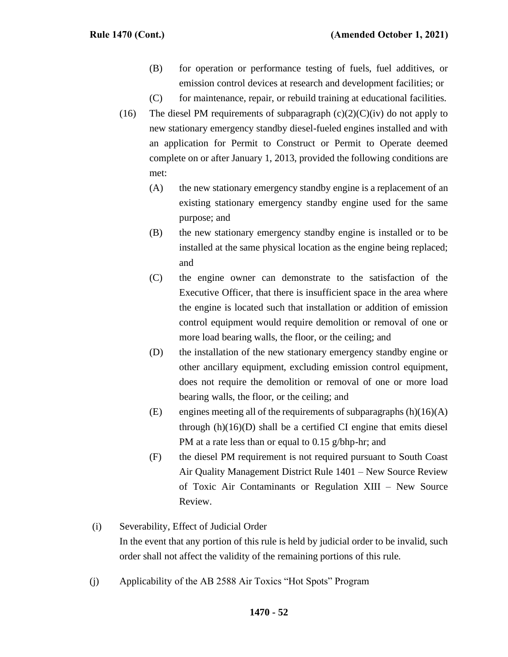- (B) for operation or performance testing of fuels, fuel additives, or emission control devices at research and development facilities; or
- (C) for maintenance, repair, or rebuild training at educational facilities.
- (16) The diesel PM requirements of subparagraph  $(c)(2)(C)(iv)$  do not apply to new stationary emergency standby diesel-fueled engines installed and with an application for Permit to Construct or Permit to Operate deemed complete on or after January 1, 2013, provided the following conditions are met:
	- (A) the new stationary emergency standby engine is a replacement of an existing stationary emergency standby engine used for the same purpose; and
	- (B) the new stationary emergency standby engine is installed or to be installed at the same physical location as the engine being replaced; and
	- (C) the engine owner can demonstrate to the satisfaction of the Executive Officer, that there is insufficient space in the area where the engine is located such that installation or addition of emission control equipment would require demolition or removal of one or more load bearing walls, the floor, or the ceiling; and
	- (D) the installation of the new stationary emergency standby engine or other ancillary equipment, excluding emission control equipment, does not require the demolition or removal of one or more load bearing walls, the floor, or the ceiling; and
	- (E) engines meeting all of the requirements of subparagraphs  $(h)(16)(A)$ through (h)(16)(D) shall be a certified CI engine that emits diesel PM at a rate less than or equal to 0.15 g/bhp-hr; and
	- (F) the diesel PM requirement is not required pursuant to South Coast Air Quality Management District Rule 1401 – New Source Review of Toxic Air Contaminants or Regulation XIII – New Source Review.
- (i) Severability, Effect of Judicial Order In the event that any portion of this rule is held by judicial order to be invalid, such order shall not affect the validity of the remaining portions of this rule.
- (j) Applicability of the AB 2588 Air Toxics "Hot Spots" Program